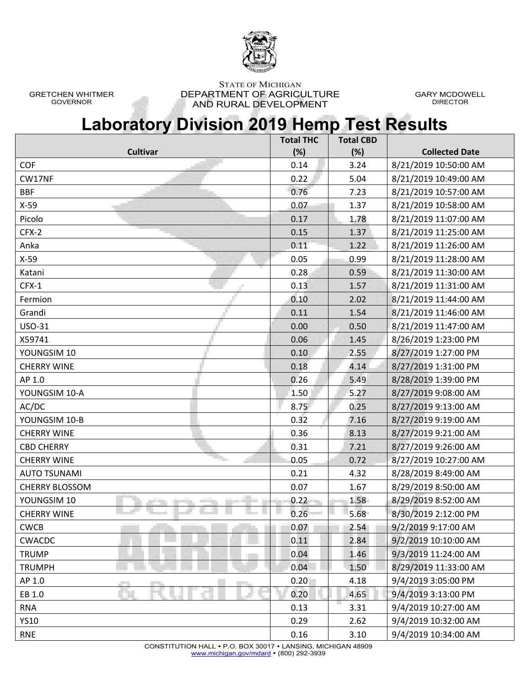

GRETCHEN WHITMER GOVERNOR

STATE OF MICHIGAN DEPARTMENT OF AGRICULTURE AND RURAL DEVELOPMENT

GARY MCDOWELL DIRECTOR

## **Laboratory Division 2019 Hemp Test Results**

| (%)<br>(%)<br><b>Collected Date</b><br><b>Cultivar</b><br>COF<br>3.24<br>8/21/2019 10:50:00 AM<br>0.14<br>CW17NF<br>0.22<br>5.04<br>8/21/2019 10:49:00 AM<br>0.76<br><b>BBF</b><br>8/21/2019 10:57:00 AM<br>7.23<br>$X-59$<br>0.07<br>1.37<br>8/21/2019 10:58:00 AM<br>8/21/2019 11:07:00 AM<br>Picolo<br>0.17<br>1.78<br>CFX-2<br>1.37<br>8/21/2019 11:25:00 AM<br>0.15<br>Anka<br>0.11<br>1.22<br>8/21/2019 11:26:00 AM<br>$X-59$<br>0.99<br>0.05<br>8/21/2019 11:28:00 AM<br>0.59<br>8/21/2019 11:30:00 AM<br>Katani<br>0.28<br>$CFX-1$<br>0.13<br>8/21/2019 11:31:00 AM<br>1.57<br>0.10<br>2.02<br>8/21/2019 11:44:00 AM<br>Fermion<br>Grandi<br>0.11<br>8/21/2019 11:46:00 AM<br>1.54<br>USO-31<br>0.00<br>0.50<br>8/21/2019 11:47:00 AM<br>X59741<br>0.06<br>1.45<br>8/26/2019 1:23:00 PM<br>YOUNGSIM 10<br>0.10<br>8/27/2019 1:27:00 PM<br>2.55<br>4.14<br>8/27/2019 1:31:00 PM<br><b>CHERRY WINE</b><br>0.18<br>0.26<br>AP 1.0<br>5.49<br>8/28/2019 1:39:00 PM<br>YOUNGSIM 10-A<br>1.50<br>5.27<br>8/27/2019 9:08:00 AM<br>AC/DC<br>8.75<br>0.25<br>8/27/2019 9:13:00 AM<br>YOUNGSIM 10-B<br>0.32<br>7.16<br>8/27/2019 9:19:00 AM<br>0.36<br>8.13<br>8/27/2019 9:21:00 AM<br><b>CHERRY WINE</b><br>0.31<br>7.21<br>8/27/2019 9:26:00 AM<br><b>CBD CHERRY</b><br><b>CHERRY WINE</b><br>0.05<br>0.72<br>8/27/2019 10:27:00 AM<br>0.21<br>8/28/2019 8:49:00 AM<br><b>AUTO TSUNAMI</b><br>4.32<br>0.07<br><b>CHERRY BLOSSOM</b><br>1.67<br>8/29/2019 8:50:00 AM<br>YOUNGSIM 10<br>0.22<br>1.58<br>8/29/2019 8:52:00 AM<br>0.26<br>5.68<br>8/30/2019 2:12:00 PM<br><b>CHERRY WINE</b><br>0.07<br>9/2/2019 9:17:00 AM<br><b>CWCB</b><br>2.54<br>0.11<br><b>CWACDC</b><br>2.84<br>9/2/2019 10:10:00 AM<br><b>TRUMP</b><br>0.04<br>1.46<br>9/3/2019 11:24:00 AM<br>8/29/2019 11:33:00 AM<br><b>TRUMPH</b><br>0.04<br>1.50 | <b>Total THC</b> | <b>Total CBD</b> |  |
|---------------------------------------------------------------------------------------------------------------------------------------------------------------------------------------------------------------------------------------------------------------------------------------------------------------------------------------------------------------------------------------------------------------------------------------------------------------------------------------------------------------------------------------------------------------------------------------------------------------------------------------------------------------------------------------------------------------------------------------------------------------------------------------------------------------------------------------------------------------------------------------------------------------------------------------------------------------------------------------------------------------------------------------------------------------------------------------------------------------------------------------------------------------------------------------------------------------------------------------------------------------------------------------------------------------------------------------------------------------------------------------------------------------------------------------------------------------------------------------------------------------------------------------------------------------------------------------------------------------------------------------------------------------------------------------------------------------------------------------------------------------------------------------------------------------------------|------------------|------------------|--|
|                                                                                                                                                                                                                                                                                                                                                                                                                                                                                                                                                                                                                                                                                                                                                                                                                                                                                                                                                                                                                                                                                                                                                                                                                                                                                                                                                                                                                                                                                                                                                                                                                                                                                                                                                                                                                           |                  |                  |  |
|                                                                                                                                                                                                                                                                                                                                                                                                                                                                                                                                                                                                                                                                                                                                                                                                                                                                                                                                                                                                                                                                                                                                                                                                                                                                                                                                                                                                                                                                                                                                                                                                                                                                                                                                                                                                                           |                  |                  |  |
|                                                                                                                                                                                                                                                                                                                                                                                                                                                                                                                                                                                                                                                                                                                                                                                                                                                                                                                                                                                                                                                                                                                                                                                                                                                                                                                                                                                                                                                                                                                                                                                                                                                                                                                                                                                                                           |                  |                  |  |
|                                                                                                                                                                                                                                                                                                                                                                                                                                                                                                                                                                                                                                                                                                                                                                                                                                                                                                                                                                                                                                                                                                                                                                                                                                                                                                                                                                                                                                                                                                                                                                                                                                                                                                                                                                                                                           |                  |                  |  |
|                                                                                                                                                                                                                                                                                                                                                                                                                                                                                                                                                                                                                                                                                                                                                                                                                                                                                                                                                                                                                                                                                                                                                                                                                                                                                                                                                                                                                                                                                                                                                                                                                                                                                                                                                                                                                           |                  |                  |  |
|                                                                                                                                                                                                                                                                                                                                                                                                                                                                                                                                                                                                                                                                                                                                                                                                                                                                                                                                                                                                                                                                                                                                                                                                                                                                                                                                                                                                                                                                                                                                                                                                                                                                                                                                                                                                                           |                  |                  |  |
|                                                                                                                                                                                                                                                                                                                                                                                                                                                                                                                                                                                                                                                                                                                                                                                                                                                                                                                                                                                                                                                                                                                                                                                                                                                                                                                                                                                                                                                                                                                                                                                                                                                                                                                                                                                                                           |                  |                  |  |
|                                                                                                                                                                                                                                                                                                                                                                                                                                                                                                                                                                                                                                                                                                                                                                                                                                                                                                                                                                                                                                                                                                                                                                                                                                                                                                                                                                                                                                                                                                                                                                                                                                                                                                                                                                                                                           |                  |                  |  |
|                                                                                                                                                                                                                                                                                                                                                                                                                                                                                                                                                                                                                                                                                                                                                                                                                                                                                                                                                                                                                                                                                                                                                                                                                                                                                                                                                                                                                                                                                                                                                                                                                                                                                                                                                                                                                           |                  |                  |  |
|                                                                                                                                                                                                                                                                                                                                                                                                                                                                                                                                                                                                                                                                                                                                                                                                                                                                                                                                                                                                                                                                                                                                                                                                                                                                                                                                                                                                                                                                                                                                                                                                                                                                                                                                                                                                                           |                  |                  |  |
|                                                                                                                                                                                                                                                                                                                                                                                                                                                                                                                                                                                                                                                                                                                                                                                                                                                                                                                                                                                                                                                                                                                                                                                                                                                                                                                                                                                                                                                                                                                                                                                                                                                                                                                                                                                                                           |                  |                  |  |
|                                                                                                                                                                                                                                                                                                                                                                                                                                                                                                                                                                                                                                                                                                                                                                                                                                                                                                                                                                                                                                                                                                                                                                                                                                                                                                                                                                                                                                                                                                                                                                                                                                                                                                                                                                                                                           |                  |                  |  |
|                                                                                                                                                                                                                                                                                                                                                                                                                                                                                                                                                                                                                                                                                                                                                                                                                                                                                                                                                                                                                                                                                                                                                                                                                                                                                                                                                                                                                                                                                                                                                                                                                                                                                                                                                                                                                           |                  |                  |  |
|                                                                                                                                                                                                                                                                                                                                                                                                                                                                                                                                                                                                                                                                                                                                                                                                                                                                                                                                                                                                                                                                                                                                                                                                                                                                                                                                                                                                                                                                                                                                                                                                                                                                                                                                                                                                                           |                  |                  |  |
|                                                                                                                                                                                                                                                                                                                                                                                                                                                                                                                                                                                                                                                                                                                                                                                                                                                                                                                                                                                                                                                                                                                                                                                                                                                                                                                                                                                                                                                                                                                                                                                                                                                                                                                                                                                                                           |                  |                  |  |
|                                                                                                                                                                                                                                                                                                                                                                                                                                                                                                                                                                                                                                                                                                                                                                                                                                                                                                                                                                                                                                                                                                                                                                                                                                                                                                                                                                                                                                                                                                                                                                                                                                                                                                                                                                                                                           |                  |                  |  |
|                                                                                                                                                                                                                                                                                                                                                                                                                                                                                                                                                                                                                                                                                                                                                                                                                                                                                                                                                                                                                                                                                                                                                                                                                                                                                                                                                                                                                                                                                                                                                                                                                                                                                                                                                                                                                           |                  |                  |  |
|                                                                                                                                                                                                                                                                                                                                                                                                                                                                                                                                                                                                                                                                                                                                                                                                                                                                                                                                                                                                                                                                                                                                                                                                                                                                                                                                                                                                                                                                                                                                                                                                                                                                                                                                                                                                                           |                  |                  |  |
|                                                                                                                                                                                                                                                                                                                                                                                                                                                                                                                                                                                                                                                                                                                                                                                                                                                                                                                                                                                                                                                                                                                                                                                                                                                                                                                                                                                                                                                                                                                                                                                                                                                                                                                                                                                                                           |                  |                  |  |
|                                                                                                                                                                                                                                                                                                                                                                                                                                                                                                                                                                                                                                                                                                                                                                                                                                                                                                                                                                                                                                                                                                                                                                                                                                                                                                                                                                                                                                                                                                                                                                                                                                                                                                                                                                                                                           |                  |                  |  |
|                                                                                                                                                                                                                                                                                                                                                                                                                                                                                                                                                                                                                                                                                                                                                                                                                                                                                                                                                                                                                                                                                                                                                                                                                                                                                                                                                                                                                                                                                                                                                                                                                                                                                                                                                                                                                           |                  |                  |  |
|                                                                                                                                                                                                                                                                                                                                                                                                                                                                                                                                                                                                                                                                                                                                                                                                                                                                                                                                                                                                                                                                                                                                                                                                                                                                                                                                                                                                                                                                                                                                                                                                                                                                                                                                                                                                                           |                  |                  |  |
|                                                                                                                                                                                                                                                                                                                                                                                                                                                                                                                                                                                                                                                                                                                                                                                                                                                                                                                                                                                                                                                                                                                                                                                                                                                                                                                                                                                                                                                                                                                                                                                                                                                                                                                                                                                                                           |                  |                  |  |
|                                                                                                                                                                                                                                                                                                                                                                                                                                                                                                                                                                                                                                                                                                                                                                                                                                                                                                                                                                                                                                                                                                                                                                                                                                                                                                                                                                                                                                                                                                                                                                                                                                                                                                                                                                                                                           |                  |                  |  |
|                                                                                                                                                                                                                                                                                                                                                                                                                                                                                                                                                                                                                                                                                                                                                                                                                                                                                                                                                                                                                                                                                                                                                                                                                                                                                                                                                                                                                                                                                                                                                                                                                                                                                                                                                                                                                           |                  |                  |  |
|                                                                                                                                                                                                                                                                                                                                                                                                                                                                                                                                                                                                                                                                                                                                                                                                                                                                                                                                                                                                                                                                                                                                                                                                                                                                                                                                                                                                                                                                                                                                                                                                                                                                                                                                                                                                                           |                  |                  |  |
|                                                                                                                                                                                                                                                                                                                                                                                                                                                                                                                                                                                                                                                                                                                                                                                                                                                                                                                                                                                                                                                                                                                                                                                                                                                                                                                                                                                                                                                                                                                                                                                                                                                                                                                                                                                                                           |                  |                  |  |
|                                                                                                                                                                                                                                                                                                                                                                                                                                                                                                                                                                                                                                                                                                                                                                                                                                                                                                                                                                                                                                                                                                                                                                                                                                                                                                                                                                                                                                                                                                                                                                                                                                                                                                                                                                                                                           |                  |                  |  |
|                                                                                                                                                                                                                                                                                                                                                                                                                                                                                                                                                                                                                                                                                                                                                                                                                                                                                                                                                                                                                                                                                                                                                                                                                                                                                                                                                                                                                                                                                                                                                                                                                                                                                                                                                                                                                           |                  |                  |  |
|                                                                                                                                                                                                                                                                                                                                                                                                                                                                                                                                                                                                                                                                                                                                                                                                                                                                                                                                                                                                                                                                                                                                                                                                                                                                                                                                                                                                                                                                                                                                                                                                                                                                                                                                                                                                                           |                  |                  |  |
|                                                                                                                                                                                                                                                                                                                                                                                                                                                                                                                                                                                                                                                                                                                                                                                                                                                                                                                                                                                                                                                                                                                                                                                                                                                                                                                                                                                                                                                                                                                                                                                                                                                                                                                                                                                                                           |                  |                  |  |
|                                                                                                                                                                                                                                                                                                                                                                                                                                                                                                                                                                                                                                                                                                                                                                                                                                                                                                                                                                                                                                                                                                                                                                                                                                                                                                                                                                                                                                                                                                                                                                                                                                                                                                                                                                                                                           |                  |                  |  |
| AP 1.0<br>0.20<br>4.18<br>9/4/2019 3:05:00 PM                                                                                                                                                                                                                                                                                                                                                                                                                                                                                                                                                                                                                                                                                                                                                                                                                                                                                                                                                                                                                                                                                                                                                                                                                                                                                                                                                                                                                                                                                                                                                                                                                                                                                                                                                                             |                  |                  |  |
| 4.65<br>EB 1.0<br>0.20<br>9/4/2019 3:13:00 PM                                                                                                                                                                                                                                                                                                                                                                                                                                                                                                                                                                                                                                                                                                                                                                                                                                                                                                                                                                                                                                                                                                                                                                                                                                                                                                                                                                                                                                                                                                                                                                                                                                                                                                                                                                             |                  |                  |  |
| 9/4/2019 10:27:00 AM<br><b>RNA</b><br>0.13<br>3.31                                                                                                                                                                                                                                                                                                                                                                                                                                                                                                                                                                                                                                                                                                                                                                                                                                                                                                                                                                                                                                                                                                                                                                                                                                                                                                                                                                                                                                                                                                                                                                                                                                                                                                                                                                        |                  |                  |  |
| <b>YS10</b><br>2.62<br>9/4/2019 10:32:00 AM<br>0.29                                                                                                                                                                                                                                                                                                                                                                                                                                                                                                                                                                                                                                                                                                                                                                                                                                                                                                                                                                                                                                                                                                                                                                                                                                                                                                                                                                                                                                                                                                                                                                                                                                                                                                                                                                       |                  |                  |  |
| <b>RNE</b><br>0.16<br>3.10<br>9/4/2019 10:34:00 AM                                                                                                                                                                                                                                                                                                                                                                                                                                                                                                                                                                                                                                                                                                                                                                                                                                                                                                                                                                                                                                                                                                                                                                                                                                                                                                                                                                                                                                                                                                                                                                                                                                                                                                                                                                        |                  |                  |  |

CONSTITUTION HALL P.O. BOX 30017 LANSING, MICHIGAN 48909 www.michigan.gov/mdard • (800) 292-3939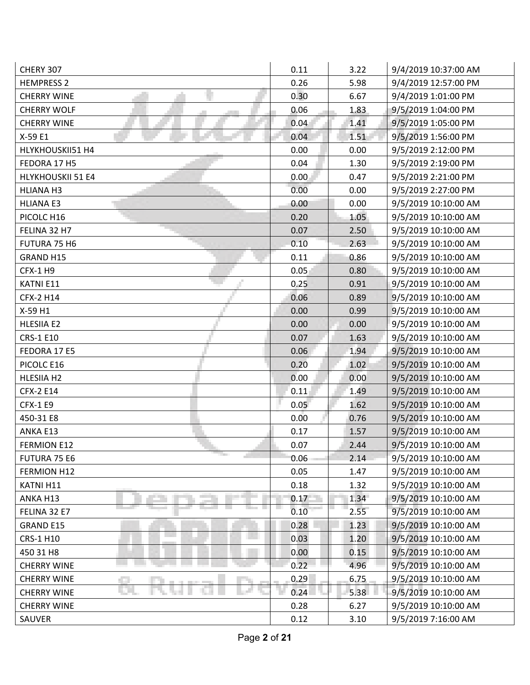| CHERY 307                | 0.11 | 3.22 | 9/4/2019 10:37:00 AM |
|--------------------------|------|------|----------------------|
| <b>HEMPRESS 2</b>        | 0.26 | 5.98 | 9/4/2019 12:57:00 PM |
| <b>CHERRY WINE</b>       | 0.30 | 6.67 | 9/4/2019 1:01:00 PM  |
| <b>CHERRY WOLF</b>       | 0.06 | 1.83 | 9/5/2019 1:04:00 PM  |
| <b>CHERRY WINE</b>       | 0.04 | 1.41 | 9/5/2019 1:05:00 PM  |
| X-59 E1                  | 0.04 | 1.51 | 9/5/2019 1:56:00 PM  |
| HLYKHOUSKII51 H4         | 0.00 | 0.00 | 9/5/2019 2:12:00 PM  |
| FEDORA 17 H5             | 0.04 | 1.30 | 9/5/2019 2:19:00 PM  |
| <b>HLYKHOUSKII 51 E4</b> | 0.00 | 0.47 | 9/5/2019 2:21:00 PM  |
| HLIANA H3                | 0.00 | 0.00 | 9/5/2019 2:27:00 PM  |
| <b>HLIANA E3</b>         | 0.00 | 0.00 | 9/5/2019 10:10:00 AM |
| PICOLC H16               | 0.20 | 1.05 | 9/5/2019 10:10:00 AM |
| FELINA 32 H7             | 0.07 | 2.50 | 9/5/2019 10:10:00 AM |
| FUTURA 75 H6             | 0.10 | 2.63 | 9/5/2019 10:10:00 AM |
| GRAND H15                | 0.11 | 0.86 | 9/5/2019 10:10:00 AM |
| <b>CFX-1 H9</b>          | 0.05 | 0.80 | 9/5/2019 10:10:00 AM |
| <b>KATNIE11</b>          | 0.25 | 0.91 | 9/5/2019 10:10:00 AM |
| <b>CFX-2 H14</b>         | 0.06 | 0.89 | 9/5/2019 10:10:00 AM |
| X-59 H1                  | 0.00 | 0.99 | 9/5/2019 10:10:00 AM |
| <b>HLESIIA E2</b>        | 0.00 | 0.00 | 9/5/2019 10:10:00 AM |
| <b>CRS-1 E10</b>         | 0.07 | 1.63 | 9/5/2019 10:10:00 AM |
| FEDORA 17 E5             | 0.06 | 1.94 | 9/5/2019 10:10:00 AM |
| PICOLC E16               | 0.20 | 1.02 | 9/5/2019 10:10:00 AM |
| HLESIIA H2               | 0.00 | 0.00 | 9/5/2019 10:10:00 AM |
| CFX-2 E14                | 0.11 | 1.49 | 9/5/2019 10:10:00 AM |
| <b>CFX-1 E9</b>          | 0.05 | 1.62 | 9/5/2019 10:10:00 AM |
| 450-31 E8                | 0.00 | 0.76 | 9/5/2019 10:10:00 AM |
| ANKA E13                 | 0.17 | 1.57 | 9/5/2019 10:10:00 AM |
| <b>FERMION E12</b>       | 0.07 | 2.44 | 9/5/2019 10:10:00 AM |
| FUTURA 75 E6             | 0.06 | 2.14 | 9/5/2019 10:10:00 AM |
| FERMION H12              | 0.05 | 1.47 | 9/5/2019 10:10:00 AM |
| KATNI H11                | 0.18 | 1.32 | 9/5/2019 10:10:00 AM |
| ANKA H13                 | 0.17 | 1.34 | 9/5/2019 10:10:00 AM |
| FELINA 32 E7             | 0.10 | 2.55 | 9/5/2019 10:10:00 AM |
| GRAND E15                | 0.28 | 1.23 | 9/5/2019 10:10:00 AM |
| CRS-1 H10                | 0.03 | 1.20 | 9/5/2019 10:10:00 AM |
| 450 31 H8                | 0.00 | 0.15 | 9/5/2019 10:10:00 AM |
| <b>CHERRY WINE</b>       | 0.22 | 4.96 | 9/5/2019 10:10:00 AM |
| <b>CHERRY WINE</b>       | 0.29 | 6.75 | 9/5/2019 10:10:00 AM |
| <b>CHERRY WINE</b>       | 0.24 | 5.38 | 9/5/2019 10:10:00 AM |
| <b>CHERRY WINE</b>       | 0.28 | 6.27 | 9/5/2019 10:10:00 AM |
| SAUVER                   | 0.12 | 3.10 | 9/5/2019 7:16:00 AM  |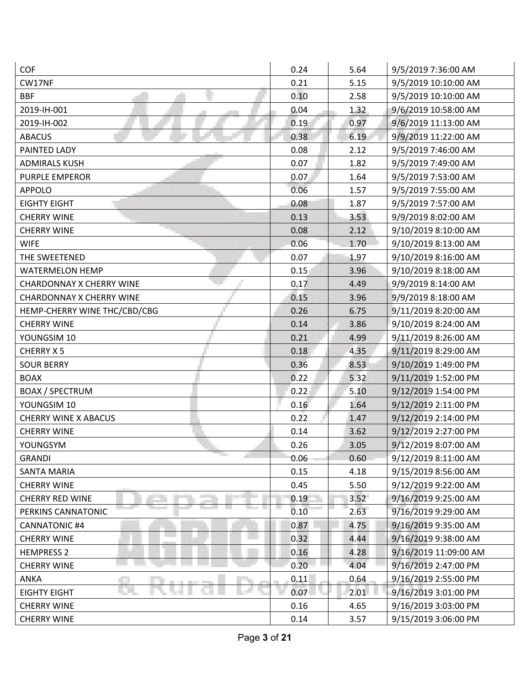| <b>COF</b>                      | 0.24 | 5.64 | 9/5/2019 7:36:00 AM   |
|---------------------------------|------|------|-----------------------|
| CW17NF                          | 0.21 | 5.15 | 9/5/2019 10:10:00 AM  |
| <b>BBF</b>                      | 0.10 | 2.58 | 9/5/2019 10:10:00 AM  |
| 2019-IH-001                     | 0.04 | 1.32 | 9/6/2019 10:58:00 AM  |
| 2019-IH-002                     | 0.19 | 0.97 | 9/6/2019 11:13:00 AM  |
| <b>ABACUS</b>                   | 0.38 | 6.19 | 9/9/2019 11:22:00 AM  |
| PAINTED LADY                    | 0.08 | 2.12 | 9/5/2019 7:46:00 AM   |
| <b>ADMIRALS KUSH</b>            | 0.07 | 1.82 | 9/5/2019 7:49:00 AM   |
| <b>PURPLE EMPEROR</b>           | 0.07 | 1.64 | 9/5/2019 7:53:00 AM   |
| <b>APPOLO</b>                   | 0.06 | 1.57 | 9/5/2019 7:55:00 AM   |
| <b>EIGHTY EIGHT</b>             | 0.08 | 1.87 | 9/5/2019 7:57:00 AM   |
| <b>CHERRY WINE</b>              | 0.13 | 3.53 | 9/9/2019 8:02:00 AM   |
| <b>CHERRY WINE</b>              | 0.08 | 2.12 | 9/10/2019 8:10:00 AM  |
| <b>WIFE</b>                     | 0.06 | 1.70 | 9/10/2019 8:13:00 AM  |
| THE SWEETENED                   | 0.07 | 1.97 | 9/10/2019 8:16:00 AM  |
| <b>WATERMELON HEMP</b>          | 0.15 | 3.96 | 9/10/2019 8:18:00 AM  |
| <b>CHARDONNAY X CHERRY WINE</b> | 0.17 | 4.49 | 9/9/2019 8:14:00 AM   |
| <b>CHARDONNAY X CHERRY WINE</b> | 0.15 | 3.96 | 9/9/2019 8:18:00 AM   |
| HEMP-CHERRY WINE THC/CBD/CBG    | 0.26 | 6.75 | 9/11/2019 8:20:00 AM  |
| <b>CHERRY WINE</b>              | 0.14 | 3.86 | 9/10/2019 8:24:00 AM  |
| YOUNGSIM 10                     | 0.21 | 4.99 | 9/11/2019 8:26:00 AM  |
| <b>CHERRY X5</b>                | 0.18 | 4.35 | 9/11/2019 8:29:00 AM  |
| <b>SOUR BERRY</b>               | 0.36 | 8.53 | 9/10/2019 1:49:00 PM  |
| <b>BOAX</b>                     | 0.22 | 5.32 | 9/11/2019 1:52:00 PM  |
| <b>BOAX / SPECTRUM</b>          | 0.22 | 5.10 | 9/12/2019 1:54:00 PM  |
| YOUNGSIM 10                     | 0.16 | 1.64 | 9/12/2019 2:11:00 PM  |
| <b>CHERRY WINE X ABACUS</b>     | 0.22 | 1.47 | 9/12/2019 2:14:00 PM  |
| <b>CHERRY WINE</b>              | 0.14 | 3.62 | 9/12/2019 2:27:00 PM  |
| YOUNGSYM                        | 0.26 | 3.05 | 9/12/2019 8:07:00 AM  |
| <b>GRANDI</b>                   | 0.06 | 0.60 | 9/12/2019 8:11:00 AM  |
| <b>SANTA MARIA</b>              | 0.15 | 4.18 | 9/15/2019 8:56:00 AM  |
| <b>CHERRY WINE</b>              | 0.45 | 5.50 | 9/12/2019 9:22:00 AM  |
| <b>CHERRY RED WINE</b>          | 0.19 | 3.52 | 9/16/2019 9:25:00 AM  |
| PERKINS CANNATONIC              | 0.10 | 2.63 | 9/16/2019 9:29:00 AM  |
| <b>CANNATONIC #4</b>            | 0.87 | 4.75 | 9/16/2019 9:35:00 AM  |
| <b>CHERRY WINE</b>              | 0.32 | 4.44 | 9/16/2019 9:38:00 AM  |
| <b>HEMPRESS 2</b>               | 0.16 | 4.28 | 9/16/2019 11:09:00 AM |
| <b>CHERRY WINE</b>              | 0.20 | 4.04 | 9/16/2019 2:47:00 PM  |
| ANKA                            | 0.11 | 0.64 | 9/16/2019 2:55:00 PM  |
| <b>EIGHTY EIGHT</b>             | 0.07 | 2.01 | 9/16/2019 3:01:00 PM  |
| <b>CHERRY WINE</b>              | 0.16 | 4.65 | 9/16/2019 3:03:00 PM  |
| <b>CHERRY WINE</b>              | 0.14 | 3.57 | 9/15/2019 3:06:00 PM  |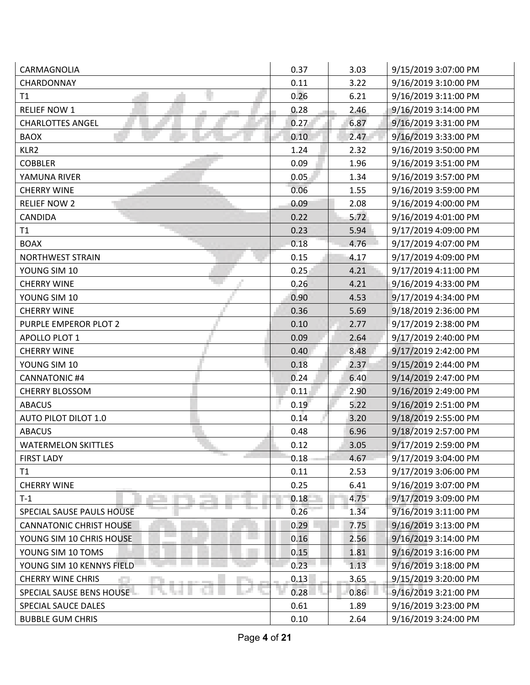| CARMAGNOLIA                              | 0.37 | 3.03 | 9/15/2019 3:07:00 PM |
|------------------------------------------|------|------|----------------------|
| CHARDONNAY                               | 0.11 | 3.22 | 9/16/2019 3:10:00 PM |
| T1                                       | 0.26 | 6.21 | 9/16/2019 3:11:00 PM |
| <b>RELIEF NOW 1</b>                      | 0.28 | 2.46 | 9/16/2019 3:14:00 PM |
| <b>CHARLOTTES ANGEL</b>                  | 0.27 | 6.87 | 9/16/2019 3:31:00 PM |
| <b>BAOX</b>                              | 0.10 | 2.47 | 9/16/2019 3:33:00 PM |
| KLR <sub>2</sub>                         | 1.24 | 2.32 | 9/16/2019 3:50:00 PM |
| <b>COBBLER</b>                           | 0.09 | 1.96 | 9/16/2019 3:51:00 PM |
| YAMUNA RIVER                             | 0.05 | 1.34 | 9/16/2019 3:57:00 PM |
| <b>CHERRY WINE</b>                       | 0.06 | 1.55 | 9/16/2019 3:59:00 PM |
| <b>RELIEF NOW 2</b>                      | 0.09 | 2.08 | 9/16/2019 4:00:00 PM |
| CANDIDA                                  | 0.22 | 5.72 | 9/16/2019 4:01:00 PM |
| T1                                       | 0.23 | 5.94 | 9/17/2019 4:09:00 PM |
| <b>BOAX</b>                              | 0.18 | 4.76 | 9/17/2019 4:07:00 PM |
| NORTHWEST STRAIN                         | 0.15 | 4.17 | 9/17/2019 4:09:00 PM |
| YOUNG SIM 10                             | 0.25 | 4.21 | 9/17/2019 4:11:00 PM |
| <b>CHERRY WINE</b>                       | 0.26 | 4.21 | 9/16/2019 4:33:00 PM |
| YOUNG SIM 10                             | 0.90 | 4.53 | 9/17/2019 4:34:00 PM |
| <b>CHERRY WINE</b>                       | 0.36 | 5.69 | 9/18/2019 2:36:00 PM |
| PURPLE EMPEROR PLOT 2                    | 0.10 | 2.77 | 9/17/2019 2:38:00 PM |
| <b>APOLLO PLOT 1</b>                     | 0.09 | 2.64 | 9/17/2019 2:40:00 PM |
| <b>CHERRY WINE</b>                       | 0.40 | 8.48 | 9/17/2019 2:42:00 PM |
| YOUNG SIM 10                             | 0.18 | 2.37 | 9/15/2019 2:44:00 PM |
| <b>CANNATONIC #4</b>                     | 0.24 | 6.40 | 9/14/2019 2:47:00 PM |
| <b>CHERRY BLOSSOM</b>                    | 0.11 | 2.90 | 9/16/2019 2:49:00 PM |
| <b>ABACUS</b>                            | 0.19 | 5.22 | 9/16/2019 2:51:00 PM |
| AUTO PILOT DILOT 1.0                     | 0.14 | 3.20 | 9/18/2019 2:55:00 PM |
| <b>ABACUS</b>                            | 0.48 | 6.96 | 9/18/2019 2:57:00 PM |
| <b>WATERMELON SKITTLES</b>               | 0.12 | 3.05 | 9/17/2019 2:59:00 PM |
| <b>The Contract</b><br><b>FIRST LADY</b> | 0.18 | 4.67 | 9/17/2019 3:04:00 PM |
| T1                                       | 0.11 | 2.53 | 9/17/2019 3:06:00 PM |
| <b>CHERRY WINE</b>                       | 0.25 | 6.41 | 9/16/2019 3:07:00 PM |
| $T-1$                                    | 0.18 | 4.75 | 9/17/2019 3:09:00 PM |
| SPECIAL SAUSE PAULS HOUSE                | 0.26 | 1.34 | 9/16/2019 3:11:00 PM |
| <b>CANNATONIC CHRIST HOUSE</b>           | 0.29 | 7.75 | 9/16/2019 3:13:00 PM |
| YOUNG SIM 10 CHRIS HOUSE                 | 0.16 | 2.56 | 9/16/2019 3:14:00 PM |
| YOUNG SIM 10 TOMS                        | 0.15 | 1.81 | 9/16/2019 3:16:00 PM |
| YOUNG SIM 10 KENNYS FIELD                | 0.23 | 1.13 | 9/16/2019 3:18:00 PM |
| <b>CHERRY WINE CHRIS</b>                 | 0.13 | 3.65 | 9/15/2019 3:20:00 PM |
| SPECIAL SAUSE BENS HOUSE                 | 0.28 | 0.86 | 9/16/2019 3:21:00 PM |
| SPECIAL SAUCE DALES                      | 0.61 | 1.89 | 9/16/2019 3:23:00 PM |
| <b>BUBBLE GUM CHRIS</b>                  | 0.10 | 2.64 | 9/16/2019 3:24:00 PM |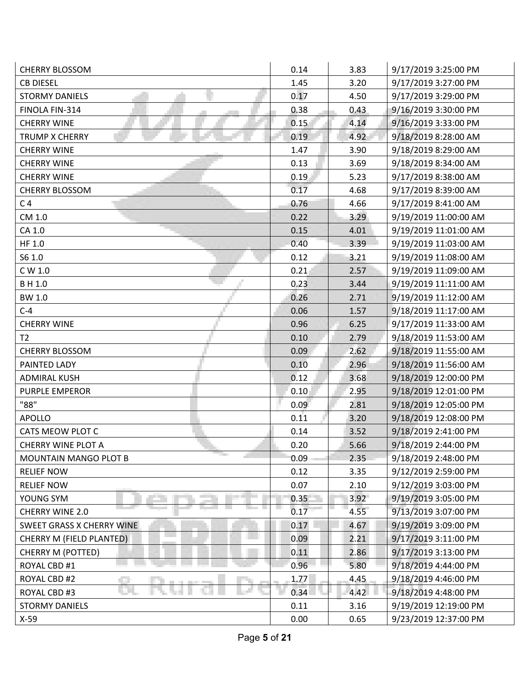| <b>CHERRY BLOSSOM</b>                      | 0.14     | 3.83 | 9/17/2019 3:25:00 PM  |
|--------------------------------------------|----------|------|-----------------------|
| <b>CB DIESEL</b>                           | 1.45     | 3.20 | 9/17/2019 3:27:00 PM  |
| <b>STORMY DANIELS</b>                      | 0.17     | 4.50 | 9/17/2019 3:29:00 PM  |
| FINOLA FIN-314                             | 0.38     | 0.43 | 9/16/2019 3:30:00 PM  |
| <b>CHERRY WINE</b>                         | 0.15     | 4.14 | 9/16/2019 3:33:00 PM  |
| <b>TRUMP X CHERRY</b>                      | 0.19     | 4.92 | 9/18/2019 8:28:00 AM  |
| <b>CHERRY WINE</b>                         | 1.47     | 3.90 | 9/18/2019 8:29:00 AM  |
| <b>CHERRY WINE</b>                         | 0.13     | 3.69 | 9/18/2019 8:34:00 AM  |
| <b>CHERRY WINE</b>                         | 0.19     | 5.23 | 9/17/2019 8:38:00 AM  |
| <b>CHERRY BLOSSOM</b>                      | 0.17     | 4.68 | 9/17/2019 8:39:00 AM  |
| C <sub>4</sub>                             | 0.76     | 4.66 | 9/17/2019 8:41:00 AM  |
| CM 1.0                                     | 0.22     | 3.29 | 9/19/2019 11:00:00 AM |
| CA 1.0                                     | 0.15     | 4.01 | 9/19/2019 11:01:00 AM |
| HF 1.0                                     | 0.40     | 3.39 | 9/19/2019 11:03:00 AM |
| S6 1.0                                     | 0.12     | 3.21 | 9/19/2019 11:08:00 AM |
| C W 1.0                                    | 0.21     | 2.57 | 9/19/2019 11:09:00 AM |
| B H 1.0                                    | 0.23     | 3.44 | 9/19/2019 11:11:00 AM |
| <b>BW 1.0</b>                              | 0.26     | 2.71 | 9/19/2019 11:12:00 AM |
| $C-4$                                      | 0.06     | 1.57 | 9/18/2019 11:17:00 AM |
| <b>CHERRY WINE</b>                         | 0.96     | 6.25 | 9/17/2019 11:33:00 AM |
| T <sub>2</sub>                             | 0.10     | 2.79 | 9/18/2019 11:53:00 AM |
| <b>CHERRY BLOSSOM</b>                      | 0.09     | 2.62 | 9/18/2019 11:55:00 AM |
| PAINTED LADY                               | 0.10     | 2.96 | 9/18/2019 11:56:00 AM |
| <b>ADMIRAL KUSH</b>                        | 0.12     | 3.68 | 9/18/2019 12:00:00 PM |
| <b>PURPLE EMPEROR</b>                      | 0.10     | 2.95 | 9/18/2019 12:01:00 PM |
| "88"                                       | 0.09     | 2.81 | 9/18/2019 12:05:00 PM |
| <b>APOLLO</b>                              | 0.11     | 3.20 | 9/18/2019 12:08:00 PM |
| CATS MEOW PLOT C                           | 0.14     | 3.52 | 9/18/2019 2:41:00 PM  |
| <b>CHERRY WINE PLOT A</b>                  | 0.20     | 5.66 | 9/18/2019 2:44:00 PM  |
| <b>The Course</b><br>MOUNTAIN MANGO PLOT B | 0.09     | 2.35 | 9/18/2019 2:48:00 PM  |
| <b>RELIEF NOW</b>                          | 0.12     | 3.35 | 9/12/2019 2:59:00 PM  |
| <b>RELIEF NOW</b>                          | 0.07     | 2.10 | 9/12/2019 3:03:00 PM  |
| YOUNG SYM                                  | $0.35 -$ | 3.92 | 9/19/2019 3:05:00 PM  |
| CHERRY WINE 2.0                            | 0.17     | 4.55 | 9/13/2019 3:07:00 PM  |
| <b>SWEET GRASS X CHERRY WINE</b>           | 0.17     | 4.67 | 9/19/2019 3:09:00 PM  |
| CHERRY M (FIELD PLANTED)                   | 0.09     | 2.21 | 9/17/2019 3:11:00 PM  |
| <b>CHERRY M (POTTED)</b>                   | 0.11     | 2.86 | 9/17/2019 3:13:00 PM  |
| ROYAL CBD #1                               | 0.96     | 5.80 | 9/18/2019 4:44:00 PM  |
| ROYAL CBD #2                               | 1.77     | 4.45 | 9/18/2019 4:46:00 PM  |
| ROYAL CBD #3                               | 0.34     | 4.42 | 9/18/2019 4:48:00 PM  |
| <b>STORMY DANIELS</b>                      | 0.11     | 3.16 | 9/19/2019 12:19:00 PM |
| $X-59$                                     | 0.00     | 0.65 | 9/23/2019 12:37:00 PM |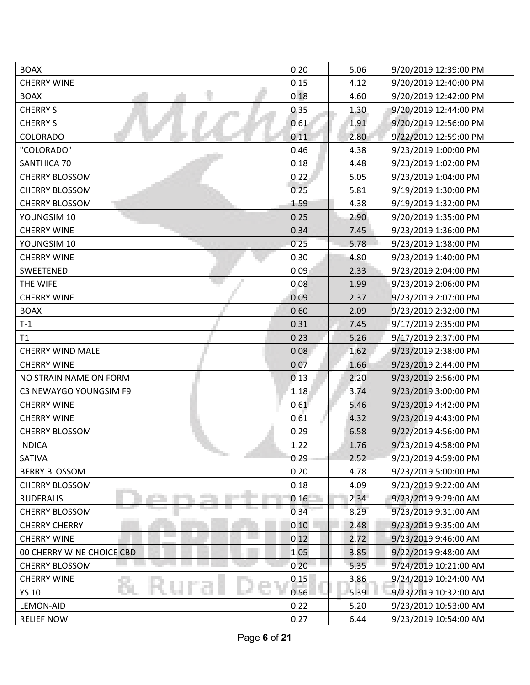| <b>BOAX</b>               | 0.20 | 5.06 | 9/20/2019 12:39:00 PM |
|---------------------------|------|------|-----------------------|
| <b>CHERRY WINE</b>        | 0.15 | 4.12 | 9/20/2019 12:40:00 PM |
| <b>BOAX</b>               | 0.18 | 4.60 | 9/20/2019 12:42:00 PM |
| <b>CHERRY S</b>           | 0.35 | 1.30 | 9/20/2019 12:44:00 PM |
| <b>CHERRY S</b>           | 0.61 | 1.91 | 9/20/2019 12:56:00 PM |
| COLORADO                  | 0.11 | 2.80 | 9/22/2019 12:59:00 PM |
| "COLORADO"                | 0.46 | 4.38 | 9/23/2019 1:00:00 PM  |
| SANTHICA 70               | 0.18 | 4.48 | 9/23/2019 1:02:00 PM  |
| <b>CHERRY BLOSSOM</b>     | 0.22 | 5.05 | 9/23/2019 1:04:00 PM  |
| <b>CHERRY BLOSSOM</b>     | 0.25 | 5.81 | 9/19/2019 1:30:00 PM  |
| <b>CHERRY BLOSSOM</b>     | 1.59 | 4.38 | 9/19/2019 1:32:00 PM  |
| YOUNGSIM 10               | 0.25 | 2.90 | 9/20/2019 1:35:00 PM  |
| <b>CHERRY WINE</b>        | 0.34 | 7.45 | 9/23/2019 1:36:00 PM  |
| YOUNGSIM 10               | 0.25 | 5.78 | 9/23/2019 1:38:00 PM  |
| <b>CHERRY WINE</b>        | 0.30 | 4.80 | 9/23/2019 1:40:00 PM  |
| <b>SWEETENED</b>          | 0.09 | 2.33 | 9/23/2019 2:04:00 PM  |
| THE WIFE                  | 0.08 | 1.99 | 9/23/2019 2:06:00 PM  |
| <b>CHERRY WINE</b>        | 0.09 | 2.37 | 9/23/2019 2:07:00 PM  |
| <b>BOAX</b>               | 0.60 | 2.09 | 9/23/2019 2:32:00 PM  |
| $T-1$                     | 0.31 | 7.45 | 9/17/2019 2:35:00 PM  |
| T1                        | 0.23 | 5.26 | 9/17/2019 2:37:00 PM  |
| <b>CHERRY WIND MALE</b>   | 0.08 | 1.62 | 9/23/2019 2:38:00 PM  |
| <b>CHERRY WINE</b>        | 0.07 | 1.66 | 9/23/2019 2:44:00 PM  |
| NO STRAIN NAME ON FORM    | 0.13 | 2.20 | 9/23/2019 2:56:00 PM  |
| C3 NEWAYGO YOUNGSIM F9    | 1.18 | 3.74 | 9/23/2019 3:00:00 PM  |
| <b>CHERRY WINE</b>        | 0.61 | 5.46 | 9/23/2019 4:42:00 PM  |
| <b>CHERRY WINE</b>        | 0.61 | 4.32 | 9/23/2019 4:43:00 PM  |
| <b>CHERRY BLOSSOM</b>     | 0.29 | 6.58 | 9/22/2019 4:56:00 PM  |
| <b>INDICA</b>             | 1.22 | 1.76 | 9/23/2019 4:58:00 PM  |
| SATIVA                    | 0.29 | 2.52 | 9/23/2019 4:59:00 PM  |
| <b>BERRY BLOSSOM</b>      | 0.20 | 4.78 | 9/23/2019 5:00:00 PM  |
| <b>CHERRY BLOSSOM</b>     | 0.18 | 4.09 | 9/23/2019 9:22:00 AM  |
| <b>RUDERALIS</b>          | 0.16 | 2.34 | 9/23/2019 9:29:00 AM  |
| <b>CHERRY BLOSSOM</b>     | 0.34 | 8.29 | 9/23/2019 9:31:00 AM  |
| <b>CHERRY CHERRY</b>      | 0.10 | 2.48 | 9/23/2019 9:35:00 AM  |
| <b>CHERRY WINE</b>        | 0.12 | 2.72 | 9/23/2019 9:46:00 AM  |
| 00 CHERRY WINE CHOICE CBD | 1.05 | 3.85 | 9/22/2019 9:48:00 AM  |
| <b>CHERRY BLOSSOM</b>     | 0.20 | 5.35 | 9/24/2019 10:21:00 AM |
| <b>CHERRY WINE</b>        | 0.15 | 3.86 | 9/24/2019 10:24:00 AM |
| <b>YS 10</b>              | 0.56 | 5.39 | 9/23/2019 10:32:00 AM |
| LEMON-AID                 | 0.22 | 5.20 | 9/23/2019 10:53:00 AM |
| <b>RELIEF NOW</b>         | 0.27 | 6.44 | 9/23/2019 10:54:00 AM |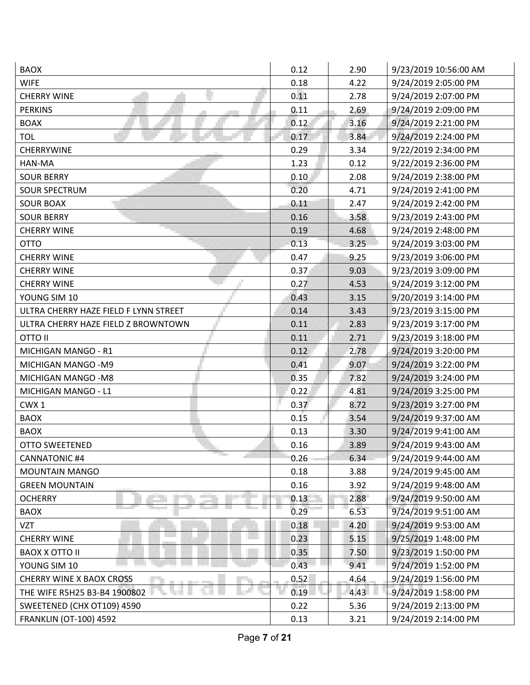| <b>BAOX</b>                           | 0.12 | 2.90 | 9/23/2019 10:56:00 AM |
|---------------------------------------|------|------|-----------------------|
| <b>WIFE</b>                           | 0.18 | 4.22 | 9/24/2019 2:05:00 PM  |
| <b>CHERRY WINE</b>                    | 0.11 | 2.78 | 9/24/2019 2:07:00 PM  |
| <b>PERKINS</b>                        | 0.11 | 2.69 | 9/24/2019 2:09:00 PM  |
| <b>BOAX</b>                           | 0.12 | 3.16 | 9/24/2019 2:21:00 PM  |
| <b>TOL</b>                            | 0.17 | 3.84 | 9/24/2019 2:24:00 PM  |
| <b>CHERRYWINE</b>                     | 0.29 | 3.34 | 9/22/2019 2:34:00 PM  |
| HAN-MA                                | 1.23 | 0.12 | 9/22/2019 2:36:00 PM  |
| <b>SOUR BERRY</b>                     | 0.10 | 2.08 | 9/24/2019 2:38:00 PM  |
| <b>SOUR SPECTRUM</b>                  | 0.20 | 4.71 | 9/24/2019 2:41:00 PM  |
| <b>SOUR BOAX</b>                      | 0.11 | 2.47 | 9/24/2019 2:42:00 PM  |
| <b>SOUR BERRY</b>                     | 0.16 | 3.58 | 9/23/2019 2:43:00 PM  |
| <b>CHERRY WINE</b>                    | 0.19 | 4.68 | 9/24/2019 2:48:00 PM  |
| <b>OTTO</b>                           | 0.13 | 3.25 | 9/24/2019 3:03:00 PM  |
| <b>CHERRY WINE</b>                    | 0.47 | 9.25 | 9/23/2019 3:06:00 PM  |
| <b>CHERRY WINE</b>                    | 0.37 | 9.03 | 9/23/2019 3:09:00 PM  |
| <b>CHERRY WINE</b>                    | 0.27 | 4.53 | 9/24/2019 3:12:00 PM  |
| YOUNG SIM 10                          | 0.43 | 3.15 | 9/20/2019 3:14:00 PM  |
| ULTRA CHERRY HAZE FIELD F LYNN STREET | 0.14 | 3.43 | 9/23/2019 3:15:00 PM  |
| ULTRA CHERRY HAZE FIELD Z BROWNTOWN   | 0.11 | 2.83 | 9/23/2019 3:17:00 PM  |
| <b>OTTO II</b>                        | 0.11 | 2.71 | 9/23/2019 3:18:00 PM  |
| MICHIGAN MANGO - R1                   | 0.12 | 2.78 | 9/24/2019 3:20:00 PM  |
| MICHIGAN MANGO - M9                   | 0.41 | 9.07 | 9/24/2019 3:22:00 PM  |
| MICHIGAN MANGO - M8                   | 0.35 | 7.82 | 9/24/2019 3:24:00 PM  |
| MICHIGAN MANGO - L1                   | 0.22 | 4.81 | 9/24/2019 3:25:00 PM  |
| CWX <sub>1</sub>                      | 0.37 | 8.72 | 9/23/2019 3:27:00 PM  |
| <b>BAOX</b>                           | 0.15 | 3.54 | 9/24/2019 9:37:00 AM  |
| <b>BAOX</b>                           | 0.13 | 3.30 | 9/24/2019 9:41:00 AM  |
| <b>OTTO SWEETENED</b>                 | 0.16 | 3.89 | 9/24/2019 9:43:00 AM  |
| <b>CANNATONIC #4</b>                  | 0.26 | 6.34 | 9/24/2019 9:44:00 AM  |
| <b>MOUNTAIN MANGO</b>                 | 0.18 | 3.88 | 9/24/2019 9:45:00 AM  |
| <b>GREEN MOUNTAIN</b>                 | 0.16 | 3.92 | 9/24/2019 9:48:00 AM  |
| <b>OCHERRY</b>                        | 0.13 | 2.88 | 9/24/2019 9:50:00 AM  |
| <b>BAOX</b>                           | 0.29 | 6.53 | 9/24/2019 9:51:00 AM  |
| VZT                                   | 0.18 | 4.20 | 9/24/2019 9:53:00 AM  |
| <b>CHERRY WINE</b>                    | 0.23 | 5.15 | 9/25/2019 1:48:00 PM  |
| <b>BAOX X OTTO II</b>                 | 0.35 | 7.50 | 9/23/2019 1:50:00 PM  |
| YOUNG SIM 10                          | 0.43 | 9.41 | 9/24/2019 1:52:00 PM  |
| <b>CHERRY WINE X BAOX CROSS</b>       | 0.52 | 4.64 | 9/24/2019 1:56:00 PM  |
| THE WIFE R5H25 B3-B4 1900802          | 0.19 | 4.43 | 9/24/2019 1:58:00 PM  |
| SWEETENED (CHX OT109) 4590            | 0.22 | 5.36 | 9/24/2019 2:13:00 PM  |
| <b>FRANKLIN (OT-100) 4592</b>         | 0.13 | 3.21 | 9/24/2019 2:14:00 PM  |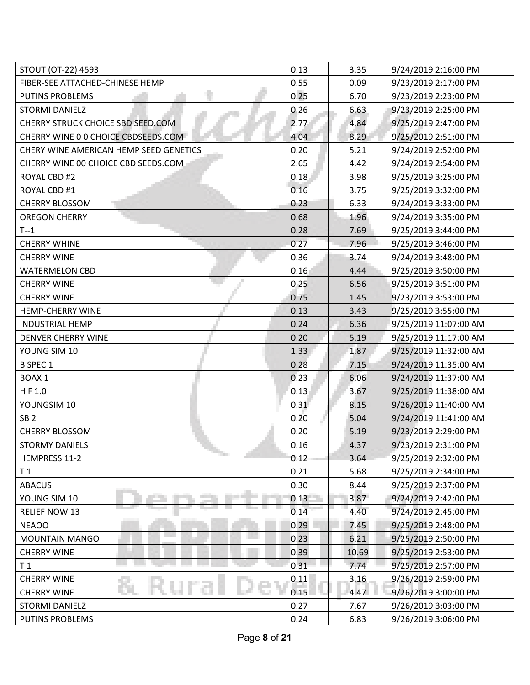| STOUT (OT-22) 4593                     | 0.13 | 3.35  | 9/24/2019 2:16:00 PM  |
|----------------------------------------|------|-------|-----------------------|
| FIBER-SEE ATTACHED-CHINESE HEMP        | 0.55 | 0.09  | 9/23/2019 2:17:00 PM  |
| <b>PUTINS PROBLEMS</b>                 | 0.25 | 6.70  | 9/23/2019 2:23:00 PM  |
| <b>STORMI DANIELZ</b>                  | 0.26 | 6.63  | 9/23/2019 2:25:00 PM  |
| CHERRY STRUCK CHOICE SBD SEED.COM      | 2.77 | 4.84  | 9/25/2019 2:47:00 PM  |
| CHERRY WINE 0 0 CHOICE CBDSEEDS.COM    | 4.04 | 8.29  | 9/25/2019 2:51:00 PM  |
| CHERY WINE AMERICAN HEMP SEED GENETICS | 0.20 | 5.21  | 9/24/2019 2:52:00 PM  |
| CHERRY WINE 00 CHOICE CBD SEEDS.COM    | 2.65 | 4.42  | 9/24/2019 2:54:00 PM  |
| ROYAL CBD #2                           | 0.18 | 3.98  | 9/25/2019 3:25:00 PM  |
| ROYAL CBD #1                           | 0.16 | 3.75  | 9/25/2019 3:32:00 PM  |
| <b>CHERRY BLOSSOM</b>                  | 0.23 | 6.33  | 9/24/2019 3:33:00 PM  |
| <b>OREGON CHERRY</b>                   | 0.68 | 1.96  | 9/24/2019 3:35:00 PM  |
| $T-1$                                  | 0.28 | 7.69  | 9/25/2019 3:44:00 PM  |
| <b>CHERRY WHINE</b>                    | 0.27 | 7.96  | 9/25/2019 3:46:00 PM  |
| <b>CHERRY WINE</b>                     | 0.36 | 3.74  | 9/24/2019 3:48:00 PM  |
| <b>WATERMELON CBD</b>                  | 0.16 | 4.44  | 9/25/2019 3:50:00 PM  |
| <b>CHERRY WINE</b>                     | 0.25 | 6.56  | 9/25/2019 3:51:00 PM  |
| <b>CHERRY WINE</b>                     | 0.75 | 1.45  | 9/23/2019 3:53:00 PM  |
| <b>HEMP-CHERRY WINE</b>                | 0.13 | 3.43  | 9/25/2019 3:55:00 PM  |
| <b>INDUSTRIAL HEMP</b>                 | 0.24 | 6.36  | 9/25/2019 11:07:00 AM |
| DENVER CHERRY WINE                     | 0.20 | 5.19  | 9/25/2019 11:17:00 AM |
| YOUNG SIM 10                           | 1.33 | 1.87  | 9/25/2019 11:32:00 AM |
| <b>B SPEC 1</b>                        | 0.28 | 7.15  | 9/24/2019 11:35:00 AM |
| <b>BOAX1</b>                           | 0.23 | 6.06  | 9/24/2019 11:37:00 AM |
| HF 1.0                                 | 0.13 | 3.67  | 9/25/2019 11:38:00 AM |
| YOUNGSIM 10                            | 0.31 | 8.15  | 9/26/2019 11:40:00 AM |
| SB <sub>2</sub>                        | 0.20 | 5.04  | 9/24/2019 11:41:00 AM |
| <b>CHERRY BLOSSOM</b>                  | 0.20 | 5.19  | 9/23/2019 2:29:00 PM  |
| <b>STORMY DANIELS</b>                  | 0.16 | 4.37  | 9/23/2019 2:31:00 PM  |
| <b>The Co</b><br>HEMPRESS 11-2         | 0.12 | 3.64  | 9/25/2019 2:32:00 PM  |
| T <sub>1</sub>                         | 0.21 | 5.68  | 9/25/2019 2:34:00 PM  |
| <b>ABACUS</b>                          | 0.30 | 8.44  | 9/25/2019 2:37:00 PM  |
| YOUNG SIM 10                           | 0.13 | 3.87  | 9/24/2019 2:42:00 PM  |
| <b>RELIEF NOW 13</b>                   | 0.14 | 4.40  | 9/24/2019 2:45:00 PM  |
| <b>NEAOO</b>                           | 0.29 | 7.45  | 9/25/2019 2:48:00 PM  |
| MOUNTAIN MANGO                         | 0.23 | 6.21  | 9/25/2019 2:50:00 PM  |
| <b>CHERRY WINE</b>                     | 0.39 | 10.69 | 9/25/2019 2:53:00 PM  |
| T <sub>1</sub>                         | 0.31 | 7.74  | 9/25/2019 2:57:00 PM  |
| <b>CHERRY WINE</b>                     | 0.11 | 3.16  | 9/26/2019 2:59:00 PM  |
| <b>CHERRY WINE</b>                     | 0.15 | 4.47  | 9/26/2019 3:00:00 PM  |
| STORMI DANIELZ                         | 0.27 | 7.67  | 9/26/2019 3:03:00 PM  |
| PUTINS PROBLEMS                        | 0.24 | 6.83  | 9/26/2019 3:06:00 PM  |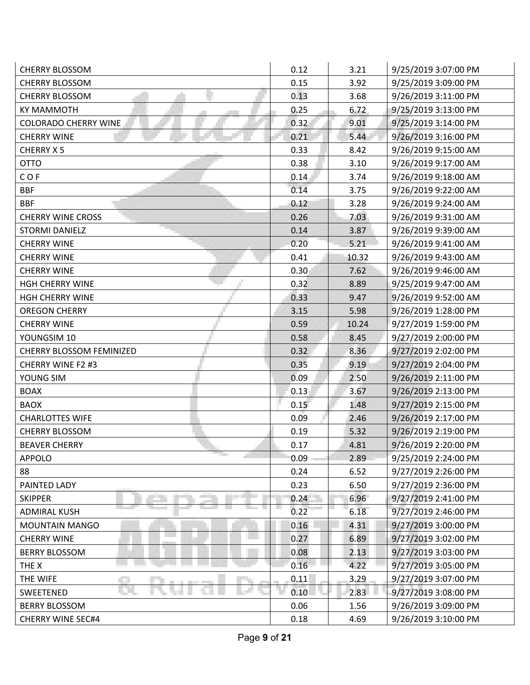| <b>CHERRY BLOSSOM</b>             | 0.12              | 3.21  | 9/25/2019 3:07:00 PM |
|-----------------------------------|-------------------|-------|----------------------|
| <b>CHERRY BLOSSOM</b>             | 0.15              | 3.92  | 9/25/2019 3:09:00 PM |
| <b>CHERRY BLOSSOM</b>             | 0.13              | 3.68  | 9/26/2019 3:11:00 PM |
| <b>KY MAMMOTH</b>                 | 0.25              | 6.72  | 9/25/2019 3:13:00 PM |
| <b>COLORADO CHERRY WINE</b>       | 0.32              | 9.01  | 9/25/2019 3:14:00 PM |
| <b>CHERRY WINE</b>                | 0.21              | 5.44  | 9/26/2019 3:16:00 PM |
| CHERRY X 5                        | 0.33              | 8.42  | 9/26/2019 9:15:00 AM |
| <b>OTTO</b>                       | 0.38              | 3.10  | 9/26/2019 9:17:00 AM |
| COF                               | 0.14              | 3.74  | 9/26/2019 9:18:00 AM |
| <b>BBF</b>                        | 0.14              | 3.75  | 9/26/2019 9:22:00 AM |
| <b>BBF</b>                        | 0.12              | 3.28  | 9/26/2019 9:24:00 AM |
| <b>CHERRY WINE CROSS</b>          | 0.26              | 7.03  | 9/26/2019 9:31:00 AM |
| <b>STORMI DANIELZ</b>             | 0.14              | 3.87  | 9/26/2019 9:39:00 AM |
| <b>CHERRY WINE</b>                | 0.20              | 5.21  | 9/26/2019 9:41:00 AM |
| <b>CHERRY WINE</b>                | 0.41              | 10.32 | 9/26/2019 9:43:00 AM |
| <b>CHERRY WINE</b>                | 0.30 <sub>1</sub> | 7.62  | 9/26/2019 9:46:00 AM |
| <b>HGH CHERRY WINE</b>            | 0.32              | 8.89  | 9/25/2019 9:47:00 AM |
| <b>HGH CHERRY WINE</b>            | 0.33              | 9.47  | 9/26/2019 9:52:00 AM |
| <b>OREGON CHERRY</b>              | 3.15              | 5.98  | 9/26/2019 1:28:00 PM |
| <b>CHERRY WINE</b>                | 0.59              | 10.24 | 9/27/2019 1:59:00 PM |
| YOUNGSIM 10                       | 0.58              | 8.45  | 9/27/2019 2:00:00 PM |
| CHERRY BLOSSOM FEMINIZED          | 0.32              | 8.36  | 9/27/2019 2:02:00 PM |
| CHERRY WINE F2 #3                 | 0.35              | 9.19  | 9/27/2019 2:04:00 PM |
| YOUNG SIM                         | 0.09              | 2.50  | 9/26/2019 2:11:00 PM |
| <b>BOAX</b>                       | 0.13              | 3.67  | 9/26/2019 2:13:00 PM |
| <b>BAOX</b>                       | 0.15              | 1.48  | 9/27/2019 2:15:00 PM |
| <b>CHARLOTTES WIFE</b>            | 0.09              | 2.46  | 9/26/2019 2:17:00 PM |
| <b>CHERRY BLOSSOM</b>             | 0.19              | 5.32  | 9/26/2019 2:19:00 PM |
| <b>BEAVER CHERRY</b>              | 0.17              | 4.81  | 9/26/2019 2:20:00 PM |
| <b>The State</b><br><b>APPOLO</b> | 0.09              | 2.89  | 9/25/2019 2:24:00 PM |
| 88                                | 0.24              | 6.52  | 9/27/2019 2:26:00 PM |
| PAINTED LADY                      | 0.23              | 6.50  | 9/27/2019 2:36:00 PM |
| <b>SKIPPER</b>                    | 0.24              | 6.96  | 9/27/2019 2:41:00 PM |
| <b>ADMIRAL KUSH</b>               | 0.22              | 6.18  | 9/27/2019 2:46:00 PM |
| <b>MOUNTAIN MANGO</b>             | 0.16              | 4.31  | 9/27/2019 3:00:00 PM |
| <b>CHERRY WINE</b>                | 0.27              | 6.89  | 9/27/2019 3:02:00 PM |
| <b>BERRY BLOSSOM</b>              | 0.08              | 2.13  | 9/27/2019 3:03:00 PM |
| THE X                             | 0.16              | 4.22  | 9/27/2019 3:05:00 PM |
| THE WIFE                          | 0.11              | 3.29  | 9/27/2019 3:07:00 PM |
| SWEETENED                         | 0.10              | 2.83  | 9/27/2019 3:08:00 PM |
| <b>BERRY BLOSSOM</b>              | 0.06              | 1.56  | 9/26/2019 3:09:00 PM |
| <b>CHERRY WINE SEC#4</b>          | 0.18              | 4.69  | 9/26/2019 3:10:00 PM |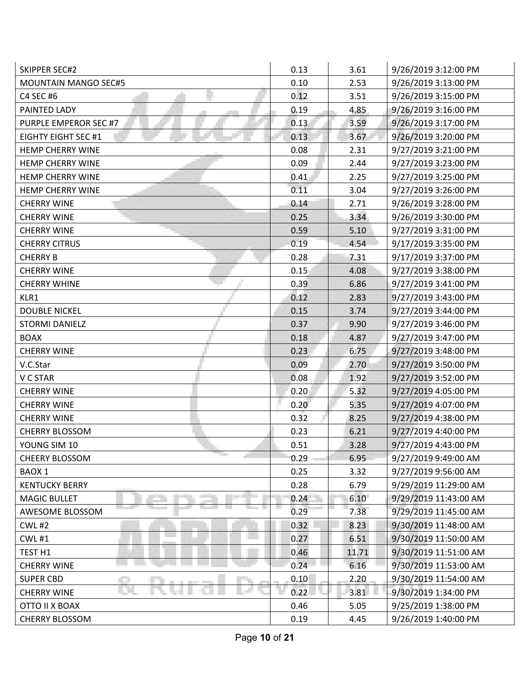| <b>SKIPPER SEC#2</b>                       | 0.13 | 3.61  | 9/26/2019 3:12:00 PM  |
|--------------------------------------------|------|-------|-----------------------|
| <b>MOUNTAIN MANGO SEC#5</b>                | 0.10 | 2.53  | 9/26/2019 3:13:00 PM  |
| C4 SEC #6                                  | 0.12 | 3.51  | 9/26/2019 3:15:00 PM  |
| PAINTED LADY                               | 0.19 | 4.85  | 9/26/2019 3:16:00 PM  |
| PURPLE EMPEROR SEC #7                      | 0.13 | 3.59  | 9/26/2019 3:17:00 PM  |
| <b>EIGHTY EIGHT SEC #1</b>                 | 0.13 | 3.67  | 9/26/2019 3:20:00 PM  |
| <b>HEMP CHERRY WINE</b>                    | 0.08 | 2.31  | 9/27/2019 3:21:00 PM  |
| <b>HEMP CHERRY WINE</b>                    | 0.09 | 2.44  | 9/27/2019 3:23:00 PM  |
| <b>HEMP CHERRY WINE</b>                    | 0.41 | 2.25  | 9/27/2019 3:25:00 PM  |
| <b>HEMP CHERRY WINE</b>                    | 0.11 | 3.04  | 9/27/2019 3:26:00 PM  |
| <b>CHERRY WINE</b>                         | 0.14 | 2.71  | 9/26/2019 3:28:00 PM  |
| <b>CHERRY WINE</b>                         | 0.25 | 3.34  | 9/26/2019 3:30:00 PM  |
| <b>CHERRY WINE</b>                         | 0.59 | 5.10  | 9/27/2019 3:31:00 PM  |
| <b>CHERRY CITRUS</b>                       | 0.19 | 4.54  | 9/17/2019 3:35:00 PM  |
| <b>CHERRY B</b>                            | 0.28 | 7.31  | 9/17/2019 3:37:00 PM  |
| <b>CHERRY WINE</b>                         | 0.15 | 4.08  | 9/27/2019 3:38:00 PM  |
| <b>CHERRY WHINE</b>                        | 0.39 | 6.86  | 9/27/2019 3:41:00 PM  |
| KLR1                                       | 0.12 | 2.83  | 9/27/2019 3:43:00 PM  |
| <b>DOUBLE NICKEL</b>                       | 0.15 | 3.74  | 9/27/2019 3:44:00 PM  |
| <b>STORMI DANIELZ</b>                      | 0.37 | 9.90  | 9/27/2019 3:46:00 PM  |
| <b>BOAX</b>                                | 0.18 | 4.87  | 9/27/2019 3:47:00 PM  |
| <b>CHERRY WINE</b>                         | 0.23 | 6.75  | 9/27/2019 3:48:00 PM  |
| V.C.Star                                   | 0.09 | 2.70  | 9/27/2019 3:50:00 PM  |
| V C STAR                                   | 0.08 | 1.92  | 9/27/2019 3:52:00 PM  |
| <b>CHERRY WINE</b>                         | 0.20 | 5.32  | 9/27/2019 4:05:00 PM  |
| <b>CHERRY WINE</b>                         | 0.20 | 5.35  | 9/27/2019 4:07:00 PM  |
| <b>CHERRY WINE</b>                         | 0.32 | 8.25  | 9/27/2019 4:38:00 PM  |
| <b>CHERRY BLOSSOM</b>                      | 0.23 | 6.21  | 9/27/2019 4:40:00 PM  |
| YOUNG SIM 10                               | 0.51 | 3.28  | 9/27/2019 4:43:00 PM  |
| <b>The Course</b><br><b>CHEERY BLOSSOM</b> | 0.29 | 6.95  | 9/27/2019 9:49:00 AM  |
| BAOX 1                                     | 0.25 | 3.32  | 9/27/2019 9:56:00 AM  |
| <b>KENTUCKY BERRY</b>                      | 0.28 | 6.79  | 9/29/2019 11:29:00 AM |
| <b>MAGIC BULLET</b>                        | 0.24 | 6.10  | 9/29/2019 11:43:00 AM |
| AWESOME BLOSSOM                            | 0.29 | 7.38  | 9/29/2019 11:45:00 AM |
| <b>CWL #2</b>                              | 0.32 | 8.23  | 9/30/2019 11:48:00 AM |
| <b>CWL#1</b>                               | 0.27 | 6.51  | 9/30/2019 11:50:00 AM |
| TEST <sub>H1</sub>                         | 0.46 | 11.71 | 9/30/2019 11:51:00 AM |
| <b>CHERRY WINE</b>                         | 0.24 | 6.16  | 9/30/2019 11:53:00 AM |
| <b>SUPER CBD</b>                           | 0.10 | 2,20  | 9/30/2019 11:54:00 AM |
| <b>CHERRY WINE</b>                         | 0.22 | 3.81  | 9/30/2019 1:34:00 PM  |
| OTTO II X BOAX                             | 0.46 | 5.05  | 9/25/2019 1:38:00 PM  |
| CHERRY BLOSSOM                             | 0.19 | 4.45  | 9/26/2019 1:40:00 PM  |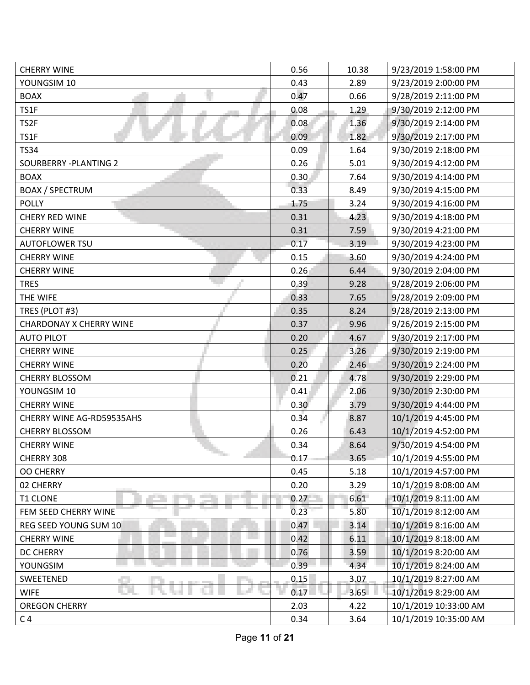| <b>CHERRY WINE</b>                | 0.56 | 10.38 | 9/23/2019 1:58:00 PM  |
|-----------------------------------|------|-------|-----------------------|
| YOUNGSIM 10                       | 0.43 | 2.89  | 9/23/2019 2:00:00 PM  |
| <b>BOAX</b>                       | 0.47 | 0.66  | 9/28/2019 2:11:00 PM  |
| TS1F                              | 0.08 | 1.29  | 9/30/2019 2:12:00 PM  |
| TS2F                              | 0.08 | 1.36  | 9/30/2019 2:14:00 PM  |
| TS1F                              | 0.09 | 1.82  | 9/30/2019 2:17:00 PM  |
| <b>TS34</b>                       | 0.09 | 1.64  | 9/30/2019 2:18:00 PM  |
| SOURBERRY - PLANTING 2            | 0.26 | 5.01  | 9/30/2019 4:12:00 PM  |
| <b>BOAX</b>                       | 0.30 | 7.64  | 9/30/2019 4:14:00 PM  |
| <b>BOAX / SPECTRUM</b>            | 0.33 | 8.49  | 9/30/2019 4:15:00 PM  |
| <b>POLLY</b>                      | 1.75 | 3.24  | 9/30/2019 4:16:00 PM  |
| CHERY RED WINE                    | 0.31 | 4.23  | 9/30/2019 4:18:00 PM  |
| <b>CHERRY WINE</b>                | 0.31 | 7.59  | 9/30/2019 4:21:00 PM  |
| <b>AUTOFLOWER TSU</b>             | 0.17 | 3.19  | 9/30/2019 4:23:00 PM  |
| <b>CHERRY WINE</b>                | 0.15 | 3.60  | 9/30/2019 4:24:00 PM  |
| <b>CHERRY WINE</b>                | 0.26 | 6.44  | 9/30/2019 2:04:00 PM  |
| <b>TRES</b>                       | 0.39 | 9.28  | 9/28/2019 2:06:00 PM  |
| THE WIFE                          | 0.33 | 7.65  | 9/28/2019 2:09:00 PM  |
| TRES (PLOT #3)                    | 0.35 | 8.24  | 9/28/2019 2:13:00 PM  |
| <b>CHARDONAY X CHERRY WINE</b>    | 0.37 | 9.96  | 9/26/2019 2:15:00 PM  |
| <b>AUTO PILOT</b>                 | 0.20 | 4.67  | 9/30/2019 2:17:00 PM  |
| <b>CHERRY WINE</b>                | 0.25 | 3.26  | 9/30/2019 2:19:00 PM  |
| <b>CHERRY WINE</b>                | 0.20 | 2.46  | 9/30/2019 2:24:00 PM  |
| <b>CHERRY BLOSSOM</b>             | 0.21 | 4.78  | 9/30/2019 2:29:00 PM  |
| YOUNGSIM 10                       | 0.41 | 2.06  | 9/30/2019 2:30:00 PM  |
| <b>CHERRY WINE</b>                | 0.30 | 3.79  | 9/30/2019 4:44:00 PM  |
| CHERRY WINE AG-RD59535AHS         | 0.34 | 8.87  | 10/1/2019 4:45:00 PM  |
| <b>CHERRY BLOSSOM</b>             | 0.26 | 6.43  | 10/1/2019 4:52:00 PM  |
| <b>CHERRY WINE</b>                | 0.34 | 8.64  | 9/30/2019 4:54:00 PM  |
| <b>The Contract</b><br>CHERRY 308 | 0.17 | 3.65  | 10/1/2019 4:55:00 PM  |
| <b>OO CHERRY</b>                  | 0.45 | 5.18  | 10/1/2019 4:57:00 PM  |
| 02 CHERRY                         | 0.20 | 3.29  | 10/1/2019 8:08:00 AM  |
| <b>T1 CLONE</b>                   | 0.27 | 6.61  | 10/1/2019 8:11:00 AM  |
| FEM SEED CHERRY WINE              | 0.23 | 5.80  | 10/1/2019 8:12:00 AM  |
| REG SEED YOUNG SUM 10             | 0.47 | 3.14  | 10/1/2019 8:16:00 AM  |
| <b>CHERRY WINE</b>                | 0.42 | 6.11  | 10/1/2019 8:18:00 AM  |
| DC CHERRY                         | 0.76 | 3.59  | 10/1/2019 8:20:00 AM  |
| YOUNGSIM                          | 0.39 | 4.34  | 10/1/2019 8:24:00 AM  |
| SWEETENED                         | 0.15 | 3.07  | 10/1/2019 8:27:00 AM  |
| <b>WIFE</b>                       | 0.17 | 3.65  | 10/1/2019 8:29:00 AM  |
| <b>OREGON CHERRY</b>              | 2.03 | 4.22  | 10/1/2019 10:33:00 AM |
| C <sub>4</sub>                    | 0.34 | 3.64  | 10/1/2019 10:35:00 AM |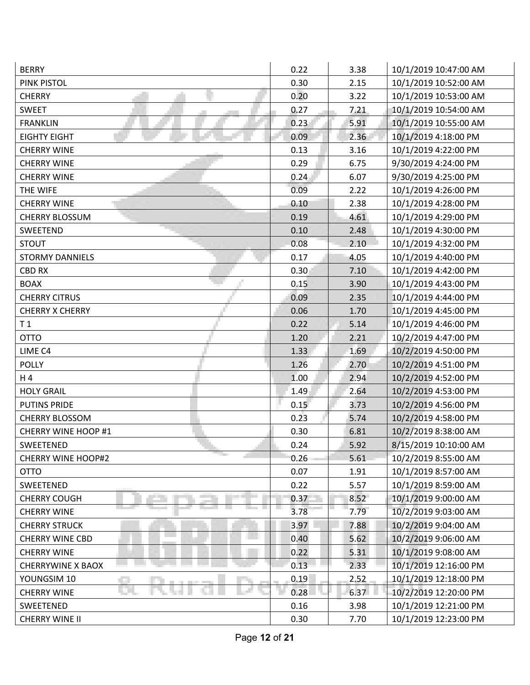| <b>BERRY</b>              | 0.22 | 3.38 | 10/1/2019 10:47:00 AM |
|---------------------------|------|------|-----------------------|
| PINK PISTOL               | 0.30 | 2.15 | 10/1/2019 10:52:00 AM |
| <b>CHERRY</b>             | 0.20 | 3.22 | 10/1/2019 10:53:00 AM |
| <b>SWEET</b>              | 0.27 | 7.21 | 10/1/2019 10:54:00 AM |
| <b>FRANKLIN</b>           | 0.23 | 5.91 | 10/1/2019 10:55:00 AM |
| <b>EIGHTY EIGHT</b>       | 0.09 | 2.36 | 10/1/2019 4:18:00 PM  |
| <b>CHERRY WINE</b>        | 0.13 | 3.16 | 10/1/2019 4:22:00 PM  |
| <b>CHERRY WINE</b>        | 0.29 | 6.75 | 9/30/2019 4:24:00 PM  |
| <b>CHERRY WINE</b>        | 0.24 | 6.07 | 9/30/2019 4:25:00 PM  |
| THE WIFE                  | 0.09 | 2.22 | 10/1/2019 4:26:00 PM  |
| <b>CHERRY WINE</b>        | 0.10 | 2.38 | 10/1/2019 4:28:00 PM  |
| <b>CHERRY BLOSSUM</b>     | 0.19 | 4.61 | 10/1/2019 4:29:00 PM  |
| SWEETEND                  | 0.10 | 2.48 | 10/1/2019 4:30:00 PM  |
| <b>STOUT</b>              | 0.08 | 2.10 | 10/1/2019 4:32:00 PM  |
| <b>STORMY DANNIELS</b>    | 0.17 | 4.05 | 10/1/2019 4:40:00 PM  |
| <b>CBD RX</b>             | 0.30 | 7.10 | 10/1/2019 4:42:00 PM  |
| <b>BOAX</b>               | 0.15 | 3.90 | 10/1/2019 4:43:00 PM  |
| <b>CHERRY CITRUS</b>      | 0.09 | 2.35 | 10/1/2019 4:44:00 PM  |
| <b>CHERRY X CHERRY</b>    | 0.06 | 1.70 | 10/1/2019 4:45:00 PM  |
| T <sub>1</sub>            | 0.22 | 5.14 | 10/1/2019 4:46:00 PM  |
| <b>OTTO</b>               | 1.20 | 2.21 | 10/2/2019 4:47:00 PM  |
| LIME C4                   | 1.33 | 1.69 | 10/2/2019 4:50:00 PM  |
| <b>POLLY</b>              | 1.26 | 2.70 | 10/2/2019 4:51:00 PM  |
| H 4                       | 1.00 | 2.94 | 10/2/2019 4:52:00 PM  |
| <b>HOLY GRAIL</b>         | 1.49 | 2.64 | 10/2/2019 4:53:00 PM  |
| <b>PUTINS PRIDE</b>       | 0.15 | 3.73 | 10/2/2019 4:56:00 PM  |
| <b>CHERRY BLOSSOM</b>     | 0.23 | 5.74 | 10/2/2019 4:58:00 PM  |
| CHERRY WINE HOOP #1       | 0.30 | 6.81 | 10/2/2019 8:38:00 AM  |
| <b>SWEETENED</b>          | 0.24 | 5.92 | 8/15/2019 10:10:00 AM |
| <b>CHERRY WINE HOOP#2</b> | 0.26 | 5.61 | 10/2/2019 8:55:00 AM  |
| <b>OTTO</b>               | 0.07 | 1.91 | 10/1/2019 8:57:00 AM  |
| SWEETENED                 | 0.22 | 5.57 | 10/1/2019 8:59:00 AM  |
| <b>CHERRY COUGH</b>       | 0.37 | 8.52 | 10/1/2019 9:00:00 AM  |
| <b>CHERRY WINE</b>        | 3.78 | 7.79 | 10/2/2019 9:03:00 AM  |
| <b>CHERRY STRUCK</b>      | 3.97 | 7.88 | 10/2/2019 9:04:00 AM  |
| <b>CHERRY WINE CBD</b>    | 0.40 | 5.62 | 10/2/2019 9:06:00 AM  |
| <b>CHERRY WINE</b>        | 0.22 | 5.31 | 10/1/2019 9:08:00 AM  |
| <b>CHERRYWINE X BAOX</b>  | 0.13 | 2.33 | 10/1/2019 12:16:00 PM |
| YOUNGSIM 10               | 0.19 | 2.52 | 10/1/2019 12:18:00 PM |
| <b>CHERRY WINE</b>        | 0.28 | 6.37 | 10/2/2019 12:20:00 PM |
| SWEETENED                 | 0.16 | 3.98 | 10/1/2019 12:21:00 PM |
| CHERRY WINE II            | 0.30 | 7.70 | 10/1/2019 12:23:00 PM |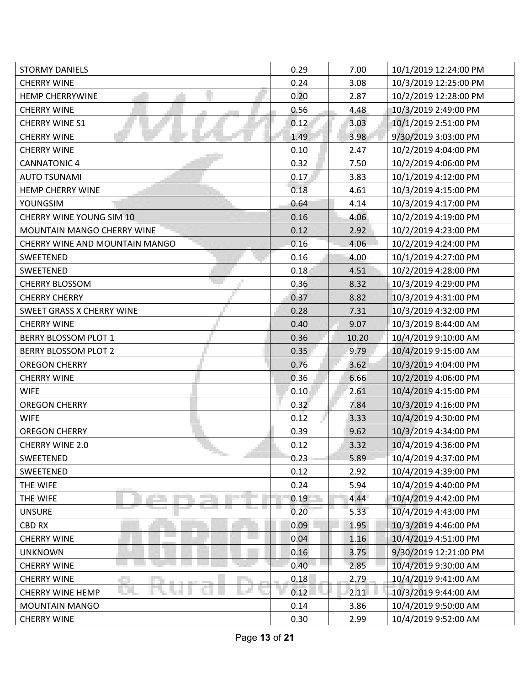| <b>STORMY DANIELS</b>             | 0.29 | 7.00  | 10/1/2019 12:24:00 PM |
|-----------------------------------|------|-------|-----------------------|
| <b>CHERRY WINE</b>                | 0.24 | 3.08  | 10/3/2019 12:25:00 PM |
| <b>HEMP CHERRYWINE</b>            | 0.20 | 2.87  | 10/2/2019 12:28:00 PM |
| <b>CHERRY WINE</b>                | 0.56 | 4.48  | 10/3/2019 2:49:00 PM  |
| <b>CHERRY WINE S1</b>             | 0.12 | 3.03  | 10/1/2019 2:51:00 PM  |
| <b>CHERRY WINE</b>                | 1.49 | 3.98  | 9/30/2019 3:03:00 PM  |
| <b>CHERRY WINE</b>                | 0.10 | 2.47  | 10/2/2019 4:04:00 PM  |
| <b>CANNATONIC 4</b>               | 0.32 | 7.50  | 10/2/2019 4:06:00 PM  |
| <b>AUTO TSUNAMI</b>               | 0.17 | 3.83  | 10/1/2019 4:12:00 PM  |
| <b>HEMP CHERRY WINE</b>           | 0.18 | 4.61  | 10/3/2019 4:15:00 PM  |
| YOUNGSIM                          | 0.64 | 4.14  | 10/3/2019 4:17:00 PM  |
| CHERRY WINE YOUNG SIM 10          | 0.16 | 4.06  | 10/2/2019 4:19:00 PM  |
| <b>MOUNTAIN MANGO CHERRY WINE</b> | 0.12 | 2.92  | 10/2/2019 4:23:00 PM  |
| CHERRY WINE AND MOUNTAIN MANGO    | 0.16 | 4.06  | 10/2/2019 4:24:00 PM  |
| SWEETENED                         | 0.16 | 4.00  | 10/1/2019 4:27:00 PM  |
| SWEETENED                         | 0.18 | 4.51  | 10/2/2019 4:28:00 PM  |
| <b>CHERRY BLOSSOM</b>             | 0.36 | 8.32  | 10/3/2019 4:29:00 PM  |
| <b>CHERRY CHERRY</b>              | 0.37 | 8.82  | 10/3/2019 4:31:00 PM  |
| SWEET GRASS X CHERRY WINE         | 0.28 | 7.31  | 10/3/2019 4:32:00 PM  |
| <b>CHERRY WINE</b>                | 0.40 | 9.07  | 10/3/2019 8:44:00 AM  |
| <b>BERRY BLOSSOM PLOT 1</b>       | 0.36 | 10.20 | 10/4/2019 9:10:00 AM  |
| <b>BERRY BLOSSOM PLOT 2</b>       | 0.35 | 9.79  | 10/4/2019 9:15:00 AM  |
| <b>OREGON CHERRY</b>              | 0.76 | 3.62  | 10/3/2019 4:04:00 PM  |
| <b>CHERRY WINE</b>                | 0.36 | 6.66  | 10/2/2019 4:06:00 PM  |
| <b>WIFE</b>                       | 0.10 | 2.61  | 10/4/2019 4:15:00 PM  |
| <b>OREGON CHERRY</b>              | 0.32 | 7.84  | 10/3/2019 4:16:00 PM  |
| <b>WIFE</b>                       | 0.12 | 3.33  | 10/4/2019 4:30:00 PM  |
| <b>OREGON CHERRY</b>              | 0.39 | 9.62  | 10/3/2019 4:34:00 PM  |
| <b>CHERRY WINE 2.0</b>            | 0.12 | 3.32  | 10/4/2019 4:36:00 PM  |
| <b>The Contract</b><br>SWEETENED  | 0.23 | 5.89  | 10/4/2019 4:37:00 PM  |
| SWEETENED                         | 0.12 | 2.92  | 10/4/2019 4:39:00 PM  |
| THE WIFE                          | 0.24 | 5.94  | 10/4/2019 4:40:00 PM  |
| THE WIFE                          | 0.19 | 4.44  | 10/4/2019 4:42:00 PM  |
| <b>UNSURE</b>                     | 0.20 | 5.33  | 10/4/2019 4:43:00 PM  |
| CBD RX                            | 0.09 | 1.95  | 10/3/2019 4:46:00 PM  |
| <b>CHERRY WINE</b>                | 0.04 | 1.16  | 10/4/2019 4:51:00 PM  |
| <b>UNKNOWN</b>                    | 0.16 | 3.75  | 9/30/2019 12:21:00 PM |
| <b>CHERRY WINE</b>                | 0.40 | 2.85  | 10/4/2019 9:30:00 AM  |
| <b>CHERRY WINE</b>                | 0.18 | 2.79  | 10/4/2019 9:41:00 AM  |
| <b>CHERRY WINE HEMP</b>           | 0.12 | 2.11  | 10/3/2019 9:44:00 AM  |
| <b>MOUNTAIN MANGO</b>             | 0.14 | 3.86  | 10/4/2019 9:50:00 AM  |
| <b>CHERRY WINE</b>                | 0.30 | 2.99  | 10/4/2019 9:52:00 AM  |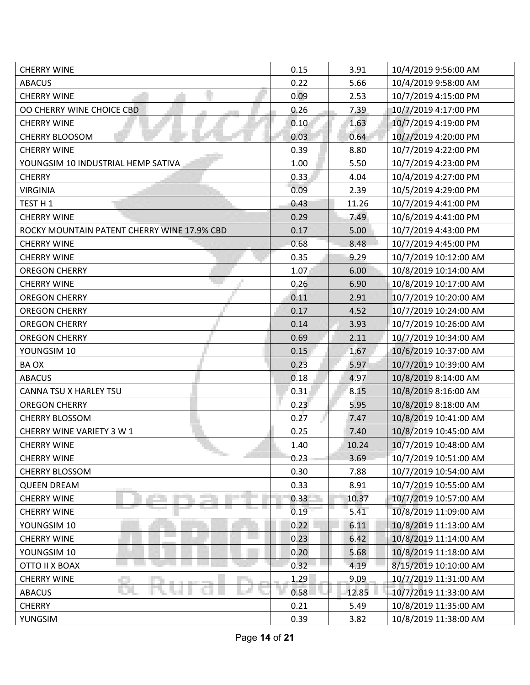| <b>CHERRY WINE</b>                          | 0.15 | 3.91  | 10/4/2019 9:56:00 AM  |
|---------------------------------------------|------|-------|-----------------------|
| <b>ABACUS</b>                               | 0.22 | 5.66  | 10/4/2019 9:58:00 AM  |
| <b>CHERRY WINE</b>                          | 0.09 | 2.53  | 10/7/2019 4:15:00 PM  |
| OO CHERRY WINE CHOICE CBD                   | 0.26 | 7.39  | 10/7/2019 4:17:00 PM  |
| <b>CHERRY WINE</b>                          | 0.10 | 1.63  | 10/7/2019 4:19:00 PM  |
| <b>CHERRY BLOOSOM</b>                       | 0.03 | 0.64  | 10/7/2019 4:20:00 PM  |
| <b>CHERRY WINE</b>                          | 0.39 | 8.80  | 10/7/2019 4:22:00 PM  |
| YOUNGSIM 10 INDUSTRIAL HEMP SATIVA          | 1.00 | 5.50  | 10/7/2019 4:23:00 PM  |
| <b>CHERRY</b>                               | 0.33 | 4.04  | 10/4/2019 4:27:00 PM  |
| <b>VIRGINIA</b>                             | 0.09 | 2.39  | 10/5/2019 4:29:00 PM  |
| TEST H 1                                    | 0.43 | 11.26 | 10/7/2019 4:41:00 PM  |
| <b>CHERRY WINE</b>                          | 0.29 | 7.49  | 10/6/2019 4:41:00 PM  |
| ROCKY MOUNTAIN PATENT CHERRY WINE 17.9% CBD | 0.17 | 5.00  | 10/7/2019 4:43:00 PM  |
| <b>CHERRY WINE</b>                          | 0.68 | 8.48  | 10/7/2019 4:45:00 PM  |
| <b>CHERRY WINE</b>                          | 0.35 | 9.29  | 10/7/2019 10:12:00 AM |
| <b>OREGON CHERRY</b>                        | 1.07 | 6.00  | 10/8/2019 10:14:00 AM |
| <b>CHERRY WINE</b>                          | 0.26 | 6.90  | 10/8/2019 10:17:00 AM |
| <b>OREGON CHERRY</b>                        | 0.11 | 2.91  | 10/7/2019 10:20:00 AM |
| <b>OREGON CHERRY</b>                        | 0.17 | 4.52  | 10/7/2019 10:24:00 AM |
| <b>OREGON CHERRY</b>                        | 0.14 | 3.93  | 10/7/2019 10:26:00 AM |
| <b>OREGON CHERRY</b>                        | 0.69 | 2.11  | 10/7/2019 10:34:00 AM |
| YOUNGSIM 10                                 | 0.15 | 1.67  | 10/6/2019 10:37:00 AM |
| BA OX                                       | 0.23 | 5.97  | 10/7/2019 10:39:00 AM |
| <b>ABACUS</b>                               | 0.18 | 4.97  | 10/8/2019 8:14:00 AM  |
| CANNA TSU X HARLEY TSU                      | 0.31 | 8.15  | 10/8/2019 8:16:00 AM  |
| <b>OREGON CHERRY</b>                        | 0.23 | 5.95  | 10/8/2019 8:18:00 AM  |
| <b>CHERRY BLOSSOM</b>                       | 0.27 | 7.47  | 10/8/2019 10:41:00 AM |
| CHERRY WINE VARIETY 3 W 1                   | 0.25 | 7.40  | 10/8/2019 10:45:00 AM |
| <b>CHERRY WINE</b>                          | 1.40 | 10.24 | 10/7/2019 10:48:00 AM |
| <b>CHERRY WINE</b>                          | 0.23 | 3.69  | 10/7/2019 10:51:00 AM |
| <b>CHERRY BLOSSOM</b>                       | 0.30 | 7.88  | 10/7/2019 10:54:00 AM |
| <b>QUEEN DREAM</b>                          | 0.33 | 8.91  | 10/7/2019 10:55:00 AM |
| <b>CHERRY WINE</b>                          | 0.33 | 10.37 | 10/7/2019 10:57:00 AM |
| <b>CHERRY WINE</b>                          | 0.19 | 5.41  | 10/8/2019 11:09:00 AM |
| YOUNGSIM 10                                 | 0.22 | 6.11  | 10/8/2019 11:13:00 AM |
| <b>CHERRY WINE</b>                          | 0.23 | 6.42  | 10/8/2019 11:14:00 AM |
| YOUNGSIM 10                                 | 0.20 | 5.68  | 10/8/2019 11:18:00 AM |
| OTTO II X BOAX                              | 0.32 | 4.19  | 8/15/2019 10:10:00 AM |
| <b>CHERRY WINE</b>                          | 1.29 | 9.09  | 10/7/2019 11:31:00 AM |
| <b>ABACUS</b>                               | 0.58 | 12.85 | 10/7/2019 11:33:00 AM |
| <b>CHERRY</b>                               | 0.21 | 5.49  | 10/8/2019 11:35:00 AM |
| YUNGSIM                                     | 0.39 | 3.82  | 10/8/2019 11:38:00 AM |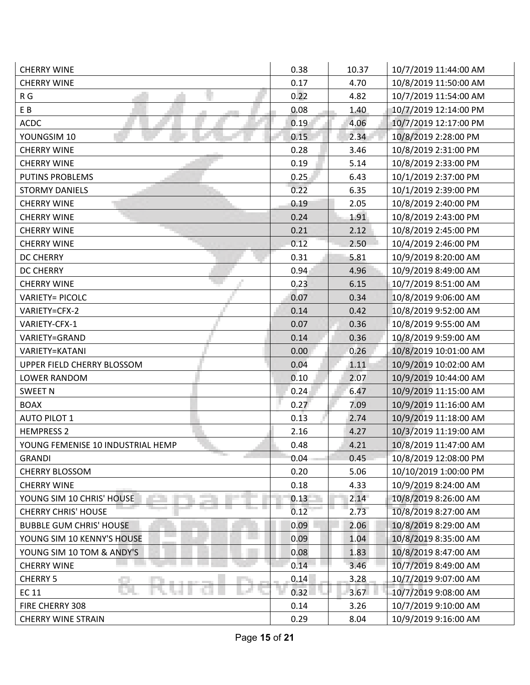| <b>CHERRY WINE</b>                | 0.38 | 10.37 | 10/7/2019 11:44:00 AM |
|-----------------------------------|------|-------|-----------------------|
| <b>CHERRY WINE</b>                | 0.17 | 4.70  | 10/8/2019 11:50:00 AM |
| R G                               | 0.22 | 4.82  | 10/7/2019 11:54:00 AM |
| EB                                | 0.08 | 1.40  | 10/7/2019 12:14:00 PM |
| <b>ACDC</b>                       | 0.19 | 4.06  | 10/7/2019 12:17:00 PM |
| YOUNGSIM 10                       | 0.15 | 2.34  | 10/8/2019 2:28:00 PM  |
| <b>CHERRY WINE</b>                | 0.28 | 3.46  | 10/8/2019 2:31:00 PM  |
| <b>CHERRY WINE</b>                | 0.19 | 5.14  | 10/8/2019 2:33:00 PM  |
| <b>PUTINS PROBLEMS</b>            | 0.25 | 6.43  | 10/1/2019 2:37:00 PM  |
| <b>STORMY DANIELS</b>             | 0.22 | 6.35  | 10/1/2019 2:39:00 PM  |
| <b>CHERRY WINE</b>                | 0.19 | 2.05  | 10/8/2019 2:40:00 PM  |
| <b>CHERRY WINE</b>                | 0.24 | 1.91  | 10/8/2019 2:43:00 PM  |
| <b>CHERRY WINE</b>                | 0.21 | 2.12  | 10/8/2019 2:45:00 PM  |
| <b>CHERRY WINE</b>                | 0.12 | 2.50  | 10/4/2019 2:46:00 PM  |
| <b>DC CHERRY</b>                  | 0.31 | 5.81  | 10/9/2019 8:20:00 AM  |
| <b>DC CHERRY</b>                  | 0.94 | 4.96  | 10/9/2019 8:49:00 AM  |
| <b>CHERRY WINE</b>                | 0.23 | 6.15  | 10/7/2019 8:51:00 AM  |
| <b>VARIETY= PICOLC</b>            | 0.07 | 0.34  | 10/8/2019 9:06:00 AM  |
| VARIETY=CFX-2                     | 0.14 | 0.42  | 10/8/2019 9:52:00 AM  |
| VARIETY-CFX-1                     | 0.07 | 0.36  | 10/8/2019 9:55:00 AM  |
| VARIETY=GRAND                     | 0.14 | 0.36  | 10/8/2019 9:59:00 AM  |
| VARIETY=KATANI                    | 0.00 | 0.26  | 10/8/2019 10:01:00 AM |
| UPPER FIELD CHERRY BLOSSOM        | 0.04 | 1.11  | 10/9/2019 10:02:00 AM |
| <b>LOWER RANDOM</b>               | 0.10 | 2.07  | 10/9/2019 10:44:00 AM |
| <b>SWEET N</b>                    | 0.24 | 6.47  | 10/9/2019 11:15:00 AM |
| <b>BOAX</b>                       | 0.27 | 7.09  | 10/9/2019 11:16:00 AM |
| <b>AUTO PILOT 1</b>               | 0.13 | 2.74  | 10/9/2019 11:18:00 AM |
| <b>HEMPRESS 2</b>                 | 2.16 | 4.27  | 10/3/2019 11:19:00 AM |
| YOUNG FEMENISE 10 INDUSTRIAL HEMP | 0.48 | 4.21  | 10/8/2019 11:47:00 AM |
| <b>GRANDI</b>                     | 0.04 | 0.45  | 10/8/2019 12:08:00 PM |
| <b>CHERRY BLOSSOM</b>             | 0.20 | 5.06  | 10/10/2019 1:00:00 PM |
| <b>CHERRY WINE</b>                | 0.18 | 4.33  | 10/9/2019 8:24:00 AM  |
| YOUNG SIM 10 CHRIS' HOUSE         | 0.13 | 2.14  | 10/8/2019 8:26:00 AM  |
| <b>CHERRY CHRIS' HOUSE</b>        | 0.12 | 2.73  | 10/8/2019 8:27:00 AM  |
| <b>BUBBLE GUM CHRIS' HOUSE</b>    | 0.09 | 2.06  | 10/8/2019 8:29:00 AM  |
| YOUNG SIM 10 KENNY'S HOUSE        | 0.09 | 1.04  | 10/8/2019 8:35:00 AM  |
| YOUNG SIM 10 TOM & ANDY'S         | 0.08 | 1.83  | 10/8/2019 8:47:00 AM  |
| <b>CHERRY WINE</b>                | 0.14 | 3.46  | 10/7/2019 8:49:00 AM  |
| <b>CHERRY 5</b>                   | 0.14 | 3.28  | 10/7/2019 9:07:00 AM  |
| EC 11                             | 0.32 | 3.67  | 10/7/2019 9:08:00 AM  |
| FIRE CHERRY 308                   | 0.14 | 3.26  | 10/7/2019 9:10:00 AM  |
| <b>CHERRY WINE STRAIN</b>         | 0.29 | 8.04  | 10/9/2019 9:16:00 AM  |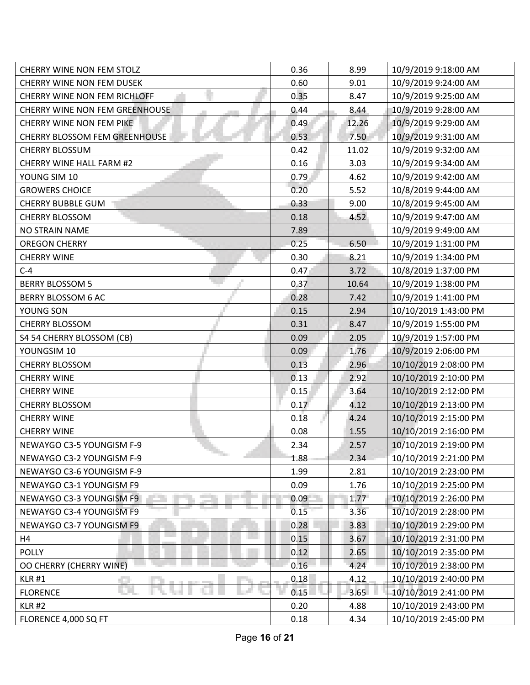| CHERRY WINE NON FEM STOLZ             | 0.36 | 8.99  | 10/9/2019 9:18:00 AM  |
|---------------------------------------|------|-------|-----------------------|
| <b>CHERRY WINE NON FEM DUSEK</b>      | 0.60 | 9.01  | 10/9/2019 9:24:00 AM  |
| CHERRY WINE NON FEM RICHLOFF          | 0.35 | 8.47  | 10/9/2019 9:25:00 AM  |
| <b>CHERRY WINE NON FEM GREENHOUSE</b> | 0.44 | 8.44  | 10/9/2019 9:28:00 AM  |
| CHERRY WINE NON FEM PIKE              | 0.49 | 12.26 | 10/9/2019 9:29:00 AM  |
| CHERRY BLOSSOM FEM GREENHOUSE         | 0.53 | 7.50  | 10/9/2019 9:31:00 AM  |
| <b>CHERRY BLOSSUM</b>                 | 0.42 | 11.02 | 10/9/2019 9:32:00 AM  |
| CHERRY WINE HALL FARM #2              | 0.16 | 3.03  | 10/9/2019 9:34:00 AM  |
| YOUNG SIM 10                          | 0.79 | 4.62  | 10/9/2019 9:42:00 AM  |
| <b>GROWERS CHOICE</b>                 | 0.20 | 5.52  | 10/8/2019 9:44:00 AM  |
| <b>CHERRY BUBBLE GUM</b>              | 0.33 | 9.00  | 10/8/2019 9:45:00 AM  |
| <b>CHERRY BLOSSOM</b>                 | 0.18 | 4.52  | 10/9/2019 9:47:00 AM  |
| <b>NO STRAIN NAME</b>                 | 7.89 |       | 10/9/2019 9:49:00 AM  |
| <b>OREGON CHERRY</b>                  | 0.25 | 6.50  | 10/9/2019 1:31:00 PM  |
| <b>CHERRY WINE</b>                    | 0.30 | 8.21  | 10/9/2019 1:34:00 PM  |
| $C-4$                                 | 0.47 | 3.72  | 10/8/2019 1:37:00 PM  |
| <b>BERRY BLOSSOM 5</b>                | 0.37 | 10.64 | 10/9/2019 1:38:00 PM  |
| <b>BERRY BLOSSOM 6 AC</b>             | 0.28 | 7.42  | 10/9/2019 1:41:00 PM  |
| YOUNG SON                             | 0.15 | 2.94  | 10/10/2019 1:43:00 PM |
| <b>CHERRY BLOSSOM</b>                 | 0.31 | 8.47  | 10/9/2019 1:55:00 PM  |
| S4 54 CHERRY BLOSSOM (CB)             | 0.09 | 2.05  | 10/9/2019 1:57:00 PM  |
| YOUNGSIM 10                           | 0.09 | 1.76  | 10/9/2019 2:06:00 PM  |
| <b>CHERRY BLOSSOM</b>                 | 0.13 | 2.96  | 10/10/2019 2:08:00 PM |
| <b>CHERRY WINE</b>                    | 0.13 | 2.92  | 10/10/2019 2:10:00 PM |
| <b>CHERRY WINE</b>                    | 0.15 | 3.64  | 10/10/2019 2:12:00 PM |
| <b>CHERRY BLOSSOM</b>                 | 0.17 | 4.12  | 10/10/2019 2:13:00 PM |
| <b>CHERRY WINE</b>                    | 0.18 | 4.24  | 10/10/2019 2:15:00 PM |
| <b>CHERRY WINE</b>                    | 0.08 | 1.55  | 10/10/2019 2:16:00 PM |
| NEWAYGO C3-5 YOUNGISM F-9             | 2.34 | 2.57  | 10/10/2019 2:19:00 PM |
| The Co<br>NEWAYGO C3-2 YOUNGISM F-9   | 1.88 | 2.34  | 10/10/2019 2:21:00 PM |
| NEWAYGO C3-6 YOUNGISM F-9             | 1.99 | 2.81  | 10/10/2019 2:23:00 PM |
| NEWAYGO C3-1 YOUNGISM F9              | 0.09 | 1.76  | 10/10/2019 2:25:00 PM |
| NEWAYGO C3-3 YOUNGISM F9              | 0.09 | 1.77  | 10/10/2019 2:26:00 PM |
| NEWAYGO C3-4 YOUNGISM F9              | 0.15 | 3.36  | 10/10/2019 2:28:00 PM |
| NEWAYGO C3-7 YOUNGISM F9              | 0.28 | 3.83  | 10/10/2019 2:29:00 PM |
| H4                                    | 0.15 | 3.67  | 10/10/2019 2:31:00 PM |
| <b>POLLY</b>                          | 0.12 | 2.65  | 10/10/2019 2:35:00 PM |
| OO CHERRY (CHERRY WINE)               | 0.16 | 4.24  | 10/10/2019 2:38:00 PM |
| <b>KLR #1</b>                         | 0.18 | 4.12  | 10/10/2019 2:40:00 PM |
| <b>FLORENCE</b>                       | 0.15 | 3.65  | 10/10/2019 2:41:00 PM |
| <b>KLR #2</b>                         | 0.20 | 4.88  | 10/10/2019 2:43:00 PM |
| FLORENCE 4,000 SQ FT                  | 0.18 | 4.34  | 10/10/2019 2:45:00 PM |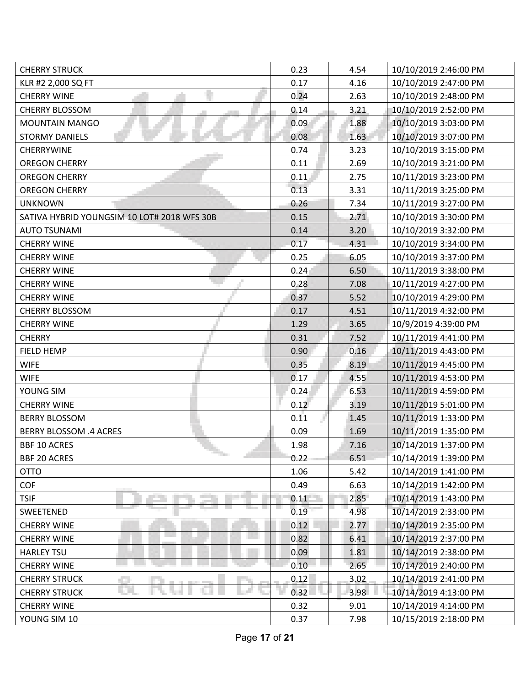| <b>CHERRY STRUCK</b>                        | 0.23       | 4.54 | 10/10/2019 2:46:00 PM |
|---------------------------------------------|------------|------|-----------------------|
| KLR #2 2,000 SQ FT                          | 0.17       | 4.16 | 10/10/2019 2:47:00 PM |
| <b>CHERRY WINE</b>                          | 0.24       | 2.63 | 10/10/2019 2:48:00 PM |
| <b>CHERRY BLOSSOM</b>                       | 0.14       | 3.21 | 10/10/2019 2:52:00 PM |
| MOUNTAIN MANGO                              | 0.09       | 1.88 | 10/10/2019 3:03:00 PM |
| <b>STORMY DANIELS</b>                       | 0.08       | 1.63 | 10/10/2019 3:07:00 PM |
| CHERRYWINE                                  | 0.74       | 3.23 | 10/10/2019 3:15:00 PM |
| <b>OREGON CHERRY</b>                        | 0.11       | 2.69 | 10/10/2019 3:21:00 PM |
| <b>OREGON CHERRY</b>                        | 0.11       | 2.75 | 10/11/2019 3:23:00 PM |
| <b>OREGON CHERRY</b>                        | 0.13       | 3.31 | 10/11/2019 3:25:00 PM |
| <b>UNKNOWN</b>                              | 0.26       | 7.34 | 10/11/2019 3:27:00 PM |
| SATIVA HYBRID YOUNGSIM 10 LOT# 2018 WFS 30B | 0.15       | 2.71 | 10/10/2019 3:30:00 PM |
| <b>AUTO TSUNAMI</b>                         | 0.14       | 3.20 | 10/10/2019 3:32:00 PM |
| <b>CHERRY WINE</b>                          | 0.17       | 4.31 | 10/10/2019 3:34:00 PM |
| <b>CHERRY WINE</b>                          | 0.25       | 6.05 | 10/10/2019 3:37:00 PM |
| <b>CHERRY WINE</b>                          | 0.24       | 6.50 | 10/11/2019 3:38:00 PM |
| <b>CHERRY WINE</b>                          | 0.28       | 7.08 | 10/11/2019 4:27:00 PM |
| <b>CHERRY WINE</b>                          | 0.37       | 5.52 | 10/10/2019 4:29:00 PM |
| <b>CHERRY BLOSSOM</b>                       | 0.17       | 4.51 | 10/11/2019 4:32:00 PM |
| <b>CHERRY WINE</b>                          | 1.29       | 3.65 | 10/9/2019 4:39:00 PM  |
| <b>CHERRY</b>                               | 0.31       | 7.52 | 10/11/2019 4:41:00 PM |
| FIELD HEMP                                  | 0.90       | 0.16 | 10/11/2019 4:43:00 PM |
| <b>WIFE</b>                                 | 0.35       | 8.19 | 10/11/2019 4:45:00 PM |
| <b>WIFE</b>                                 | 0.17       | 4.55 | 10/11/2019 4:53:00 PM |
| YOUNG SIM                                   | 0.24       | 6.53 | 10/11/2019 4:59:00 PM |
| <b>CHERRY WINE</b>                          | $0.12^{-}$ | 3.19 | 10/11/2019 5:01:00 PM |
| <b>BERRY BLOSSOM</b>                        | 0.11       | 1.45 | 10/11/2019 1:33:00 PM |
| <b>BERRY BLOSSOM .4 ACRES</b>               | 0.09       | 1.69 | 10/11/2019 1:35:00 PM |
| <b>BBF 10 ACRES</b>                         | 1.98       | 7.16 | 10/14/2019 1:37:00 PM |
| <b>The Contract</b><br><b>BBF 20 ACRES</b>  | 0.22       | 6.51 | 10/14/2019 1:39:00 PM |
| <b>OTTO</b>                                 | 1.06       | 5.42 | 10/14/2019 1:41:00 PM |
| <b>COF</b>                                  | 0.49       | 6.63 | 10/14/2019 1:42:00 PM |
| <b>TSIF</b>                                 | 0.11       | 2.85 | 10/14/2019 1:43:00 PM |
| SWEETENED                                   | 0.19       | 4.98 | 10/14/2019 2:33:00 PM |
| <b>CHERRY WINE</b>                          | 0.12       | 2.77 | 10/14/2019 2:35:00 PM |
| <b>CHERRY WINE</b>                          | 0.82       | 6.41 | 10/14/2019 2:37:00 PM |
| <b>HARLEY TSU</b>                           | 0.09       | 1.81 | 10/14/2019 2:38:00 PM |
| <b>CHERRY WINE</b>                          | 0.10       | 2.65 | 10/14/2019 2:40:00 PM |
| <b>CHERRY STRUCK</b>                        | 0.12       | 3.02 | 10/14/2019 2:41:00 PM |
| <b>CHERRY STRUCK</b>                        | 0.32       | 3.98 | 10/14/2019 4:13:00 PM |
| <b>CHERRY WINE</b>                          | 0.32       | 9.01 | 10/14/2019 4:14:00 PM |
| YOUNG SIM 10                                | 0.37       | 7.98 | 10/15/2019 2:18:00 PM |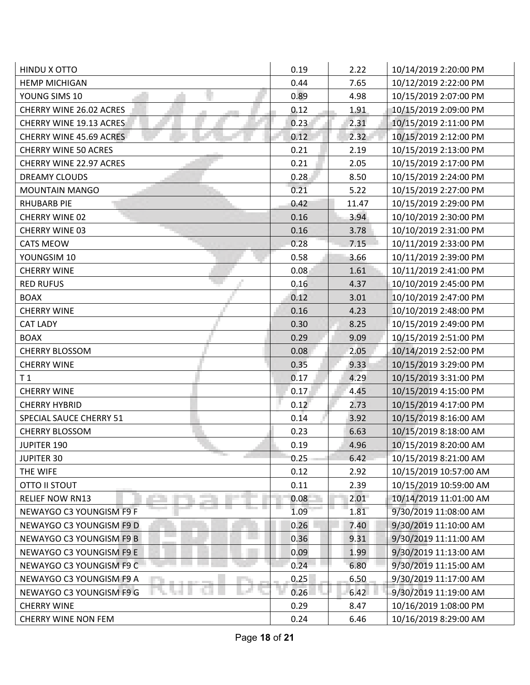| HINDU X OTTO                           | 0.19 | 2.22  | 10/14/2019 2:20:00 PM  |
|----------------------------------------|------|-------|------------------------|
| <b>HEMP MICHIGAN</b>                   | 0.44 | 7.65  | 10/12/2019 2:22:00 PM  |
| YOUNG SIMS 10                          | 0.89 | 4.98  | 10/15/2019 2:07:00 PM  |
| CHERRY WINE 26.02 ACRES                | 0.12 | 1.91  | 10/15/2019 2:09:00 PM  |
| CHERRY WINE 19.13 ACRES                | 0.23 | 2.31  | 10/15/2019 2:11:00 PM  |
| CHERRY WINE 45.69 ACRES                | 0.12 | 2.32  | 10/15/2019 2:12:00 PM  |
| <b>CHERRY WINE 50 ACRES</b>            | 0.21 | 2.19  | 10/15/2019 2:13:00 PM  |
| <b>CHERRY WINE 22.97 ACRES</b>         | 0.21 | 2.05  | 10/15/2019 2:17:00 PM  |
| <b>DREAMY CLOUDS</b>                   | 0.28 | 8.50  | 10/15/2019 2:24:00 PM  |
| <b>MOUNTAIN MANGO</b>                  | 0.21 | 5.22  | 10/15/2019 2:27:00 PM  |
| <b>RHUBARB PIE</b>                     | 0.42 | 11.47 | 10/15/2019 2:29:00 PM  |
| CHERRY WINE 02                         | 0.16 | 3.94  | 10/10/2019 2:30:00 PM  |
| CHERRY WINE 03                         | 0.16 | 3.78  | 10/10/2019 2:31:00 PM  |
| <b>CATS MEOW</b>                       | 0.28 | 7.15  | 10/11/2019 2:33:00 PM  |
| YOUNGSIM 10                            | 0.58 | 3.66  | 10/11/2019 2:39:00 PM  |
| <b>CHERRY WINE</b>                     | 0.08 | 1.61  | 10/11/2019 2:41:00 PM  |
| <b>RED RUFUS</b>                       | 0.16 | 4.37  | 10/10/2019 2:45:00 PM  |
| <b>BOAX</b>                            | 0.12 | 3.01  | 10/10/2019 2:47:00 PM  |
| <b>CHERRY WINE</b>                     | 0.16 | 4.23  | 10/10/2019 2:48:00 PM  |
| <b>CAT LADY</b>                        | 0.30 | 8.25  | 10/15/2019 2:49:00 PM  |
| <b>BOAX</b>                            | 0.29 | 9.09  | 10/15/2019 2:51:00 PM  |
| <b>CHERRY BLOSSOM</b>                  | 0.08 | 2.05  | 10/14/2019 2:52:00 PM  |
| <b>CHERRY WINE</b>                     | 0.35 | 9.33  | 10/15/2019 3:29:00 PM  |
| T <sub>1</sub>                         | 0.17 | 4.29  | 10/15/2019 3:31:00 PM  |
| <b>CHERRY WINE</b>                     | 0.17 | 4.45  | 10/15/2019 4:15:00 PM  |
| <b>CHERRY HYBRID</b>                   | 0.12 | 2.73  | 10/15/2019 4:17:00 PM  |
| SPECIAL SAUCE CHERRY 51                | 0.14 | 3.92  | 10/15/2019 8:16:00 AM  |
| <b>CHERRY BLOSSOM</b>                  | 0.23 | 6.63  | 10/15/2019 8:18:00 AM  |
| JUPITER 190                            | 0.19 | 4.96  | 10/15/2019 8:20:00 AM  |
| <b>The Course</b><br><b>JUPITER 30</b> | 0.25 | 6.42  | 10/15/2019 8:21:00 AM  |
| THE WIFE                               | 0.12 | 2.92  | 10/15/2019 10:57:00 AM |
| <b>OTTO II STOUT</b>                   | 0.11 | 2.39  | 10/15/2019 10:59:00 AM |
| <b>RELIEF NOW RN13</b>                 | 0.08 | 2.01  | 10/14/2019 11:01:00 AM |
| NEWAYGO C3 YOUNGISM F9 F               | 1.09 | 1.81  | 9/30/2019 11:08:00 AM  |
| NEWAYGO C3 YOUNGISM F9 D               | 0.26 | 7.40  | 9/30/2019 11:10:00 AM  |
| NEWAYGO C3 YOUNGISM F9 B               | 0.36 | 9.31  | 9/30/2019 11:11:00 AM  |
| NEWAYGO C3 YOUNGISM F9 E               | 0.09 | 1.99  | 9/30/2019 11:13:00 AM  |
| NEWAYGO C3 YOUNGISM F9 C               | 0.24 | 6.80  | 9/30/2019 11:15:00 AM  |
| NEWAYGO C3 YOUNGISM F9 A               | 0.25 | 6.50  | 9/30/2019 11:17:00 AM  |
| NEWAYGO C3 YOUNGISM F9 G               | 0.26 | 6.42  | 9/30/2019 11:19:00 AM  |
| <b>CHERRY WINE</b>                     | 0.29 | 8.47  | 10/16/2019 1:08:00 PM  |
| <b>CHERRY WINE NON FEM</b>             | 0.24 | 6.46  | 10/16/2019 8:29:00 AM  |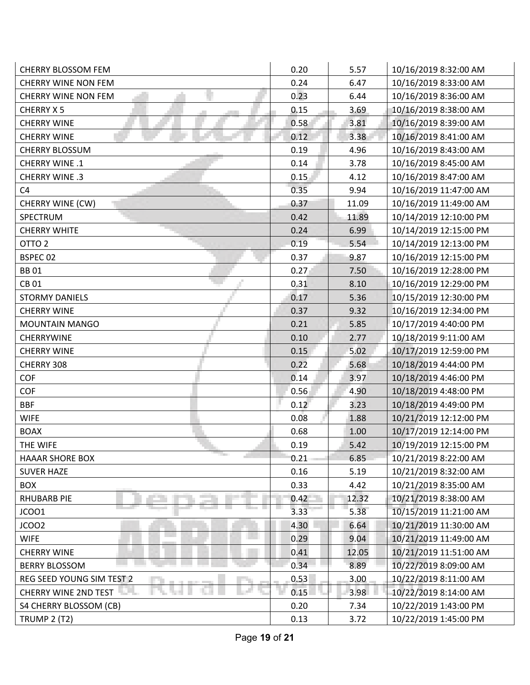| <b>CHERRY BLOSSOM FEM</b>                         | 0.20 | 5.57  | 10/16/2019 8:32:00 AM  |
|---------------------------------------------------|------|-------|------------------------|
| <b>CHERRY WINE NON FEM</b>                        | 0.24 | 6.47  | 10/16/2019 8:33:00 AM  |
| <b>CHERRY WINE NON FEM</b>                        | 0.23 | 6.44  | 10/16/2019 8:36:00 AM  |
| <b>CHERRY X5</b>                                  | 0.15 | 3.69  | 10/16/2019 8:38:00 AM  |
| <b>CHERRY WINE</b>                                | 0.58 | 3.81  | 10/16/2019 8:39:00 AM  |
| <b>CHERRY WINE</b>                                | 0.12 | 3.38  | 10/16/2019 8:41:00 AM  |
| <b>CHERRY BLOSSUM</b>                             | 0.19 | 4.96  | 10/16/2019 8:43:00 AM  |
| CHERRY WINE .1                                    | 0.14 | 3.78  | 10/16/2019 8:45:00 AM  |
| CHERRY WINE .3                                    | 0.15 | 4.12  | 10/16/2019 8:47:00 AM  |
| C <sub>4</sub>                                    | 0.35 | 9.94  | 10/16/2019 11:47:00 AM |
| CHERRY WINE (CW)                                  | 0.37 | 11.09 | 10/16/2019 11:49:00 AM |
| SPECTRUM                                          | 0.42 | 11.89 | 10/14/2019 12:10:00 PM |
| <b>CHERRY WHITE</b>                               | 0.24 | 6.99  | 10/14/2019 12:15:00 PM |
| OTTO <sub>2</sub>                                 | 0.19 | 5.54  | 10/14/2019 12:13:00 PM |
| BSPEC 02                                          | 0.37 | 9.87  | 10/16/2019 12:15:00 PM |
| <b>BB01</b>                                       | 0.27 | 7.50  | 10/16/2019 12:28:00 PM |
| <b>CB01</b>                                       | 0.31 | 8.10  | 10/16/2019 12:29:00 PM |
| <b>STORMY DANIELS</b>                             | 0.17 | 5.36  | 10/15/2019 12:30:00 PM |
| <b>CHERRY WINE</b>                                | 0.37 | 9.32  | 10/16/2019 12:34:00 PM |
| <b>MOUNTAIN MANGO</b>                             | 0.21 | 5.85  | 10/17/2019 4:40:00 PM  |
| <b>CHERRYWINE</b>                                 | 0.10 | 2.77  | 10/18/2019 9:11:00 AM  |
| <b>CHERRY WINE</b>                                | 0.15 | 5.02  | 10/17/2019 12:59:00 PM |
| CHERRY 308                                        | 0.22 | 5.68  | 10/18/2019 4:44:00 PM  |
| COF                                               | 0.14 | 3.97  | 10/18/2019 4:46:00 PM  |
| <b>COF</b>                                        | 0.56 | 4.90  | 10/18/2019 4:48:00 PM  |
| <b>BBF</b>                                        | 0.12 | 3.23  | 10/18/2019 4:49:00 PM  |
| <b>WIFE</b>                                       | 0.08 | 1.88  | 10/21/2019 12:12:00 PM |
| <b>BOAX</b>                                       | 0.68 | 1.00  | 10/17/2019 12:14:00 PM |
| THE WIFE                                          | 0.19 | 5.42  | 10/19/2019 12:15:00 PM |
| <b>The State</b><br>a l<br><b>HAAAR SHORE BOX</b> | 0.21 | 6.85  | 10/21/2019 8:22:00 AM  |
| <b>SUVER HAZE</b>                                 | 0.16 | 5.19  | 10/21/2019 8:32:00 AM  |
| <b>BOX</b>                                        | 0.33 | 4.42  | 10/21/2019 8:35:00 AM  |
| <b>RHUBARB PIE</b>                                | 0.42 | 12.32 | 10/21/2019 8:38:00 AM  |
| JCOO1                                             | 3.33 | 5.38  | 10/15/2019 11:21:00 AM |
| JCOO2                                             | 4.30 | 6.64  | 10/21/2019 11:30:00 AM |
| <b>WIFE</b>                                       | 0.29 | 9.04  | 10/21/2019 11:49:00 AM |
| <b>CHERRY WINE</b>                                | 0.41 | 12.05 | 10/21/2019 11:51:00 AM |
| <b>BERRY BLOSSOM</b>                              | 0.34 | 8.89  | 10/22/2019 8:09:00 AM  |
| REG SEED YOUNG SIM TEST 2                         | 0.53 | 3.00  | 10/22/2019 8:11:00 AM  |
| <b>CHERRY WINE 2ND TEST THEFT</b>                 | 0.15 | 3.98  | 10/22/2019 8:14:00 AM  |
| S4 CHERRY BLOSSOM (CB)                            | 0.20 | 7.34  | 10/22/2019 1:43:00 PM  |
| <b>TRUMP 2 (T2)</b>                               | 0.13 | 3.72  | 10/22/2019 1:45:00 PM  |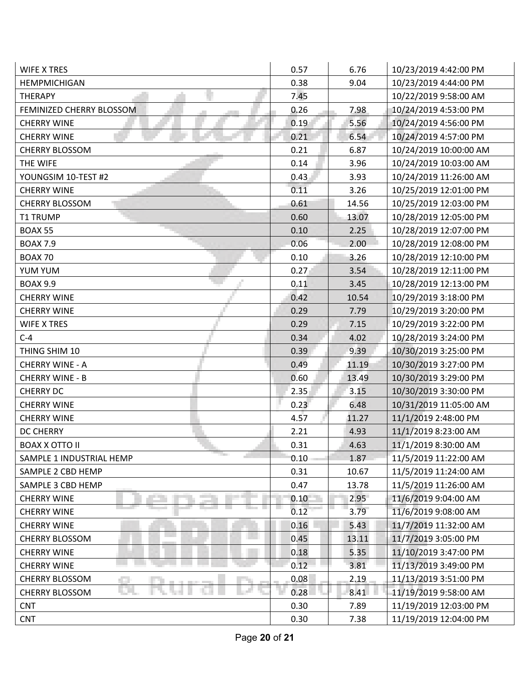| <b>WIFE X TRES</b>                              | 0.57 | 6.76  | 10/23/2019 4:42:00 PM  |
|-------------------------------------------------|------|-------|------------------------|
| <b>HEMPMICHIGAN</b>                             | 0.38 | 9.04  | 10/23/2019 4:44:00 PM  |
| <b>THERAPY</b>                                  | 7.45 |       | 10/22/2019 9:58:00 AM  |
| FEMINIZED CHERRY BLOSSOM                        | 0.26 | 7.98  | 10/24/2019 4:53:00 PM  |
| <b>CHERRY WINE</b>                              | 0.19 | 5.56  | 10/24/2019 4:56:00 PM  |
| <b>CHERRY WINE</b>                              | 0.21 | 6.54  | 10/24/2019 4:57:00 PM  |
| <b>CHERRY BLOSSOM</b>                           | 0.21 | 6.87  | 10/24/2019 10:00:00 AM |
| THE WIFE                                        | 0.14 | 3.96  | 10/24/2019 10:03:00 AM |
| YOUNGSIM 10-TEST #2                             | 0.43 | 3.93  | 10/24/2019 11:26:00 AM |
| <b>CHERRY WINE</b>                              | 0.11 | 3.26  | 10/25/2019 12:01:00 PM |
| <b>CHERRY BLOSSOM</b>                           | 0.61 | 14.56 | 10/25/2019 12:03:00 PM |
| <b>T1 TRUMP</b>                                 | 0.60 | 13.07 | 10/28/2019 12:05:00 PM |
| <b>BOAX 55</b>                                  | 0.10 | 2.25  | 10/28/2019 12:07:00 PM |
| <b>BOAX 7.9</b>                                 | 0.06 | 2.00  | 10/28/2019 12:08:00 PM |
| <b>BOAX 70</b>                                  | 0.10 | 3.26  | 10/28/2019 12:10:00 PM |
| YUM YUM                                         | 0.27 | 3.54  | 10/28/2019 12:11:00 PM |
| <b>BOAX 9.9</b>                                 | 0.11 | 3.45  | 10/28/2019 12:13:00 PM |
| <b>CHERRY WINE</b>                              | 0.42 | 10.54 | 10/29/2019 3:18:00 PM  |
| <b>CHERRY WINE</b>                              | 0.29 | 7.79  | 10/29/2019 3:20:00 PM  |
| <b>WIFE X TRES</b>                              | 0.29 | 7.15  | 10/29/2019 3:22:00 PM  |
| $C-4$                                           | 0.34 | 4.02  | 10/28/2019 3:24:00 PM  |
| THING SHIM 10                                   | 0.39 | 9.39  | 10/30/2019 3:25:00 PM  |
| <b>CHERRY WINE - A</b>                          | 0.49 | 11.19 | 10/30/2019 3:27:00 PM  |
| <b>CHERRY WINE - B</b>                          | 0.60 | 13.49 | 10/30/2019 3:29:00 PM  |
| <b>CHERRY DC</b>                                | 2.35 | 3.15  | 10/30/2019 3:30:00 PM  |
| <b>CHERRY WINE</b>                              | 0.23 | 6.48  | 10/31/2019 11:05:00 AM |
| <b>CHERRY WINE</b>                              | 4.57 | 11.27 | 11/1/2019 2:48:00 PM   |
| <b>DC CHERRY</b>                                | 2.21 | 4.93  | 11/1/2019 8:23:00 AM   |
| <b>BOAX X OTTO II</b>                           | 0.31 | 4.63  | 11/1/2019 8:30:00 AM   |
| <b>The Contract</b><br>SAMPLE 1 INDUSTRIAL HEMP | 0.10 | 1.87  | 11/5/2019 11:22:00 AM  |
| SAMPLE 2 CBD HEMP                               | 0.31 | 10.67 | 11/5/2019 11:24:00 AM  |
| SAMPLE 3 CBD HEMP                               | 0.47 | 13.78 | 11/5/2019 11:26:00 AM  |
| <b>CHERRY WINE</b>                              | 0.10 | 2.95  | 11/6/2019 9:04:00 AM   |
| <b>CHERRY WINE</b>                              | 0.12 | 3.79  | 11/6/2019 9:08:00 AM   |
| <b>CHERRY WINE</b>                              | 0.16 | 5.43  | 11/7/2019 11:32:00 AM  |
| <b>CHERRY BLOSSOM</b>                           | 0.45 | 13.11 | 11/7/2019 3:05:00 PM   |
| <b>CHERRY WINE</b>                              | 0.18 | 5.35  | 11/10/2019 3:47:00 PM  |
| <b>CHERRY WINE</b>                              | 0.12 | 3.81  | 11/13/2019 3:49:00 PM  |
| CHERRY BLOSSOM                                  | 0.08 | 2.19  | 11/13/2019 3:51:00 PM  |
| <b>CHERRY BLOSSOM</b>                           | 0.28 | 8.41  | 11/19/2019 9:58:00 AM  |
| <b>CNT</b>                                      | 0.30 | 7.89  | 11/19/2019 12:03:00 PM |
| <b>CNT</b>                                      | 0.30 | 7.38  | 11/19/2019 12:04:00 PM |